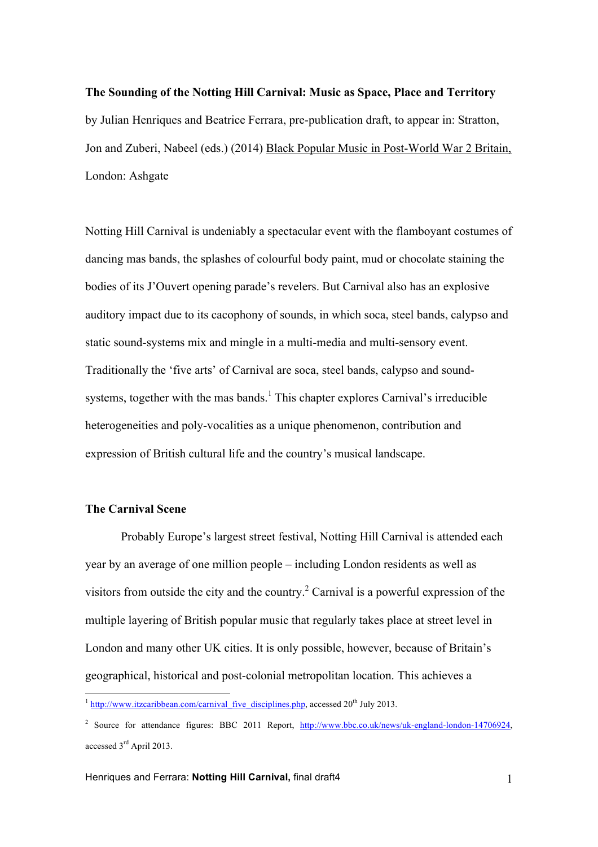**The Sounding of the Notting Hill Carnival: Music as Space, Place and Territory** by Julian Henriques and Beatrice Ferrara, pre-publication draft, to appear in: Stratton, Jon and Zuberi, Nabeel (eds.) (2014) Black Popular Music in Post-World War 2 Britain, London: Ashgate

Notting Hill Carnival is undeniably a spectacular event with the flamboyant costumes of dancing mas bands, the splashes of colourful body paint, mud or chocolate staining the bodies of its J'Ouvert opening parade's revelers. But Carnival also has an explosive auditory impact due to its cacophony of sounds, in which soca, steel bands, calypso and static sound-systems mix and mingle in a multi-media and multi-sensory event. Traditionally the 'five arts' of Carnival are soca, steel bands, calypso and soundsystems, together with the mas bands.<sup>1</sup> This chapter explores Carnival's irreducible heterogeneities and poly-vocalities as a unique phenomenon, contribution and expression of British cultural life and the country's musical landscape.

## **The Carnival Scene**

Probably Europe's largest street festival, Notting Hill Carnival is attended each year by an average of one million people – including London residents as well as visitors from outside the city and the country.<sup>2</sup> Carnival is a powerful expression of the multiple layering of British popular music that regularly takes place at street level in London and many other UK cities. It is only possible, however, because of Britain's geographical, historical and post-colonial metropolitan location. This achieves a

 $1 \text{ http://www.itzcaribbean.com/carnival five disciplines.php, accessed 20<sup>th</sup> July 2013.$ 

<sup>&</sup>lt;sup>2</sup> Source for attendance figures: BBC 2011 Report, http://www.bbc.co.uk/news/uk-england-london-14706924, accessed 3rd April 2013.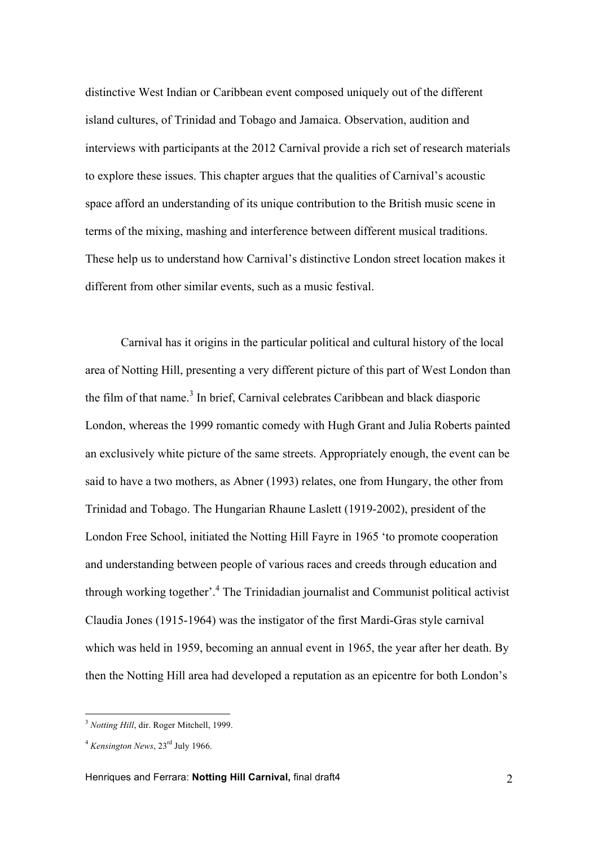distinctive West Indian or Caribbean event composed uniquely out of the different island cultures, of Trinidad and Tobago and Jamaica. Observation, audition and interviews with participants at the 2012 Carnival provide a rich set of research materials to explore these issues. This chapter argues that the qualities of Carnival's acoustic space afford an understanding of its unique contribution to the British music scene in terms of the mixing, mashing and interference between different musical traditions. These help us to understand how Carnival's distinctive London street location makes it different from other similar events, such as a music festival.

Carnival has it origins in the particular political and cultural history of the local area of Notting Hill, presenting a very different picture of this part of West London than the film of that name.<sup>3</sup> In brief, Carnival celebrates Caribbean and black diasporic London, whereas the 1999 romantic comedy with Hugh Grant and Julia Roberts painted an exclusively white picture of the same streets. Appropriately enough, the event can be said to have a two mothers, as Abner (1993) relates, one from Hungary, the other from Trinidad and Tobago. The Hungarian Rhaune Laslett (1919-2002), president of the London Free School, initiated the Notting Hill Fayre in 1965 'to promote cooperation and understanding between people of various races and creeds through education and through working together'. <sup>4</sup> The Trinidadian journalist and Communist political activist Claudia Jones (1915-1964) was the instigator of the first Mardi-Gras style carnival which was held in 1959, becoming an annual event in 1965, the year after her death. By then the Notting Hill area had developed a reputation as an epicentre for both London's

 <sup>3</sup> *Notting Hill*, dir. Roger Mitchell, 1999.

<sup>4</sup> *Kensington News*, 23rd July 1966.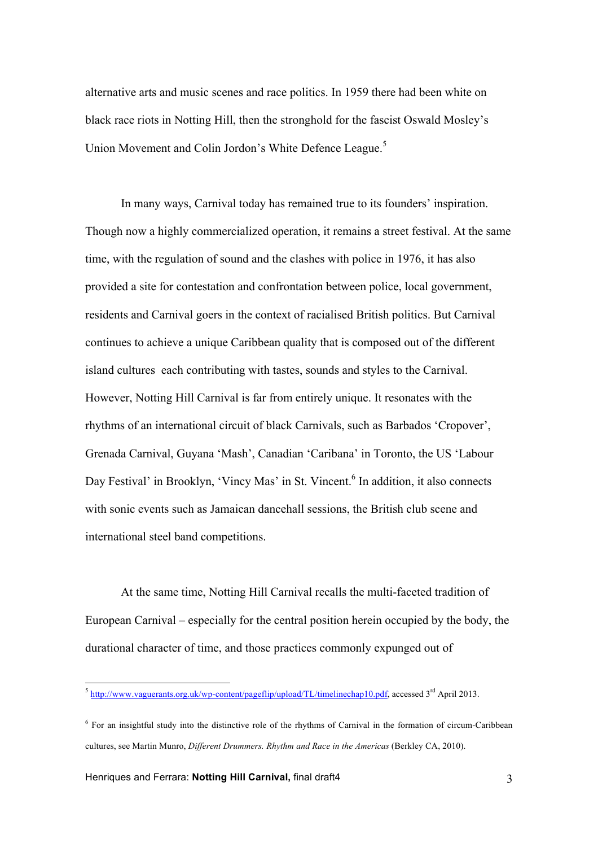alternative arts and music scenes and race politics. In 1959 there had been white on black race riots in Notting Hill, then the stronghold for the fascist Oswald Mosley's Union Movement and Colin Jordon's White Defence League.<sup>5</sup>

In many ways, Carnival today has remained true to its founders' inspiration. Though now a highly commercialized operation, it remains a street festival. At the same time, with the regulation of sound and the clashes with police in 1976, it has also provided a site for contestation and confrontation between police, local government, residents and Carnival goers in the context of racialised British politics. But Carnival continues to achieve a unique Caribbean quality that is composed out of the different island cultures each contributing with tastes, sounds and styles to the Carnival. However, Notting Hill Carnival is far from entirely unique. It resonates with the rhythms of an international circuit of black Carnivals, such as Barbados 'Cropover', Grenada Carnival, Guyana 'Mash', Canadian 'Caribana' in Toronto, the US 'Labour Day Festival' in Brooklyn, 'Vincy Mas' in St. Vincent.<sup>6</sup> In addition, it also connects with sonic events such as Jamaican dancehall sessions, the British club scene and international steel band competitions.

At the same time, Notting Hill Carnival recalls the multi-faceted tradition of European Carnival – especially for the central position herein occupied by the body, the durational character of time, and those practices commonly expunged out of

 $5$  http://www.vaguerants.org.uk/wp-content/pageflip/upload/TL/timelinechap10.pdf, accessed  $3<sup>rd</sup>$  April 2013.

<sup>&</sup>lt;sup>6</sup> For an insightful study into the distinctive role of the rhythms of Carnival in the formation of circum-Caribbean cultures, see Martin Munro, *Different Drummers. Rhythm and Race in the Americas* (Berkley CA, 2010).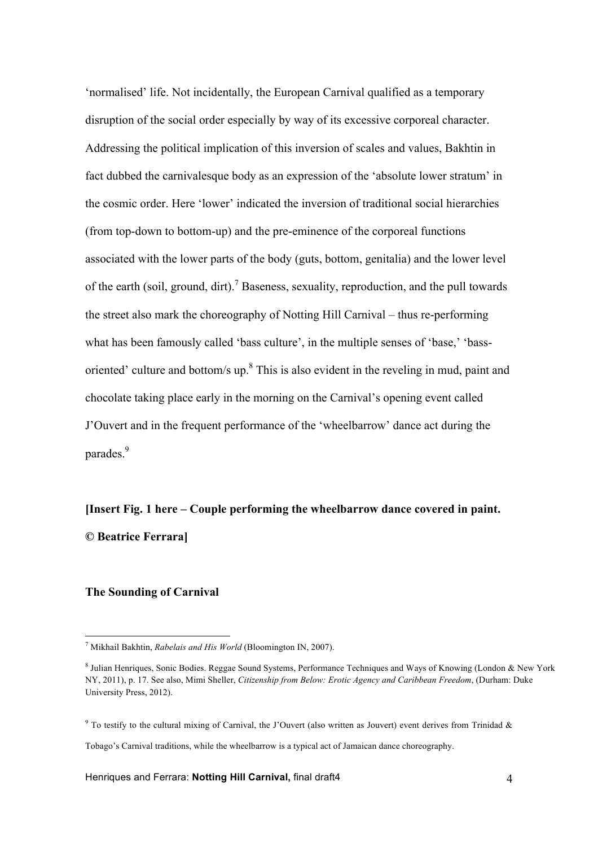'normalised' life. Not incidentally, the European Carnival qualified as a temporary disruption of the social order especially by way of its excessive corporeal character. Addressing the political implication of this inversion of scales and values, Bakhtin in fact dubbed the carnivalesque body as an expression of the 'absolute lower stratum' in the cosmic order. Here 'lower' indicated the inversion of traditional social hierarchies (from top-down to bottom-up) and the pre-eminence of the corporeal functions associated with the lower parts of the body (guts, bottom, genitalia) and the lower level of the earth (soil, ground, dirt).<sup>7</sup> Baseness, sexuality, reproduction, and the pull towards the street also mark the choreography of Notting Hill Carnival – thus re-performing what has been famously called 'bass culture', in the multiple senses of 'base,' 'bassoriented' culture and bottom/s up.<sup>8</sup> This is also evident in the reveling in mud, paint and chocolate taking place early in the morning on the Carnival's opening event called J'Ouvert and in the frequent performance of the 'wheelbarrow' dance act during the parades<sup>9</sup>

# **[Insert Fig. 1 here – Couple performing the wheelbarrow dance covered in paint. © Beatrice Ferrara]**

# **The Sounding of Carnival**

 <sup>7</sup> Mikhail Bakhtin, *Rabelais and His World* (Bloomington IN, 2007).

<sup>8</sup> Julian Henriques, Sonic Bodies. Reggae Sound Systems, Performance Techniques and Ways of Knowing (London & New York NY, 2011), p. 17. See also, Mimi Sheller, *Citizenship from Below: Erotic Agency and Caribbean Freedom*, (Durham: Duke University Press, 2012).

<sup>&</sup>lt;sup>9</sup> To testify to the cultural mixing of Carnival, the J'Ouvert (also written as Jouvert) event derives from Trinidad  $\&$ 

Tobago's Carnival traditions, while the wheelbarrow is a typical act of Jamaican dance choreography.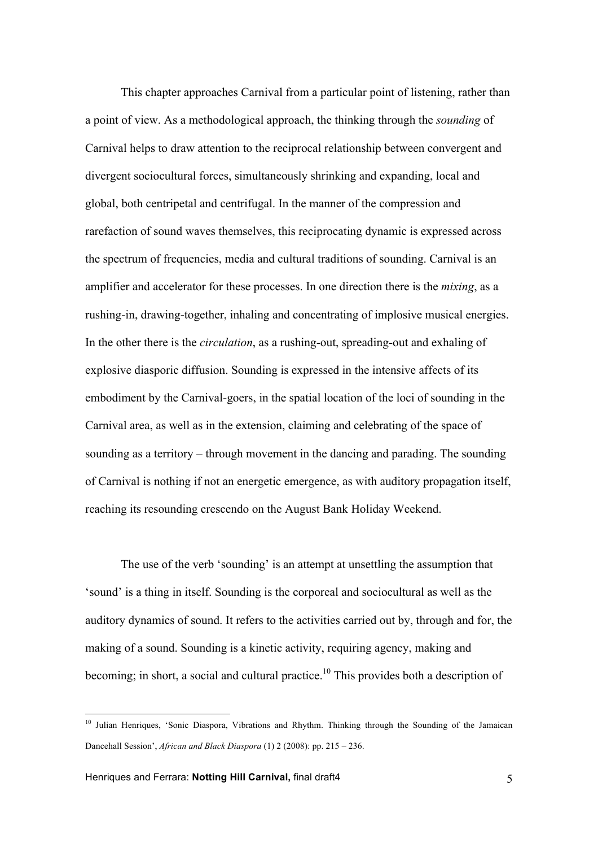This chapter approaches Carnival from a particular point of listening, rather than a point of view. As a methodological approach, the thinking through the *sounding* of Carnival helps to draw attention to the reciprocal relationship between convergent and divergent sociocultural forces, simultaneously shrinking and expanding, local and global, both centripetal and centrifugal. In the manner of the compression and rarefaction of sound waves themselves, this reciprocating dynamic is expressed across the spectrum of frequencies, media and cultural traditions of sounding. Carnival is an amplifier and accelerator for these processes. In one direction there is the *mixing*, as a rushing-in, drawing-together, inhaling and concentrating of implosive musical energies. In the other there is the *circulation*, as a rushing-out, spreading-out and exhaling of explosive diasporic diffusion. Sounding is expressed in the intensive affects of its embodiment by the Carnival-goers, in the spatial location of the loci of sounding in the Carnival area, as well as in the extension, claiming and celebrating of the space of sounding as a territory – through movement in the dancing and parading. The sounding of Carnival is nothing if not an energetic emergence, as with auditory propagation itself, reaching its resounding crescendo on the August Bank Holiday Weekend.

The use of the verb 'sounding' is an attempt at unsettling the assumption that 'sound' is a thing in itself. Sounding is the corporeal and sociocultural as well as the auditory dynamics of sound. It refers to the activities carried out by, through and for, the making of a sound. Sounding is a kinetic activity, requiring agency, making and becoming; in short, a social and cultural practice.<sup>10</sup> This provides both a description of

<sup>&</sup>lt;sup>10</sup> Julian Henriques, 'Sonic Diaspora, Vibrations and Rhythm. Thinking through the Sounding of the Jamaican Dancehall Session', *African and Black Diaspora* (1) 2 (2008): pp. 215 – 236.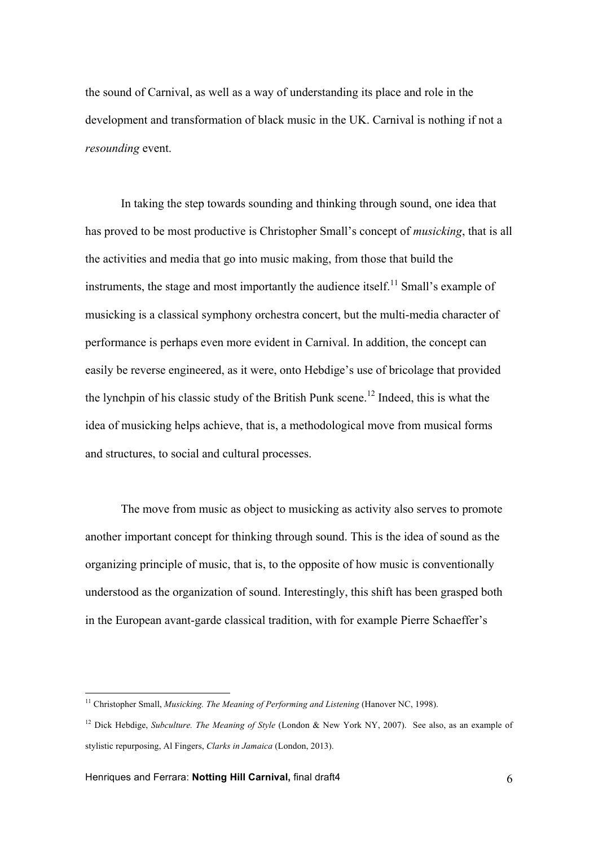the sound of Carnival, as well as a way of understanding its place and role in the development and transformation of black music in the UK. Carnival is nothing if not a *resounding* event.

In taking the step towards sounding and thinking through sound, one idea that has proved to be most productive is Christopher Small's concept of *musicking*, that is all the activities and media that go into music making, from those that build the instruments, the stage and most importantly the audience itself.<sup>11</sup> Small's example of musicking is a classical symphony orchestra concert, but the multi-media character of performance is perhaps even more evident in Carnival. In addition, the concept can easily be reverse engineered, as it were, onto Hebdige's use of bricolage that provided the lynchpin of his classic study of the British Punk scene.<sup>12</sup> Indeed, this is what the idea of musicking helps achieve, that is, a methodological move from musical forms and structures, to social and cultural processes.

The move from music as object to musicking as activity also serves to promote another important concept for thinking through sound. This is the idea of sound as the organizing principle of music, that is, to the opposite of how music is conventionally understood as the organization of sound. Interestingly, this shift has been grasped both in the European avant-garde classical tradition, with for example Pierre Schaeffer's

 <sup>11</sup> Christopher Small, *Musicking. The Meaning of Performing and Listening* (Hanover NC, 1998).

<sup>12</sup> Dick Hebdige, *Subculture. The Meaning of Style* (London & New York NY, 2007). See also, as an example of stylistic repurposing, Al Fingers, *Clarks in Jamaica* (London, 2013).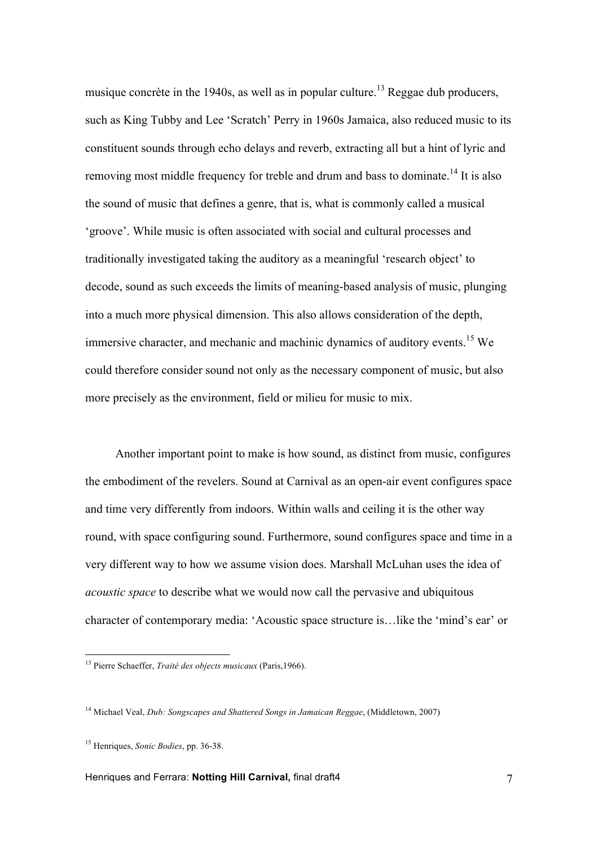musique concrète in the 1940s, as well as in popular culture.<sup>13</sup> Reggae dub producers, such as King Tubby and Lee 'Scratch' Perry in 1960s Jamaica, also reduced music to its constituent sounds through echo delays and reverb, extracting all but a hint of lyric and removing most middle frequency for treble and drum and bass to dominate.<sup>14</sup> It is also the sound of music that defines a genre, that is, what is commonly called a musical 'groove'. While music is often associated with social and cultural processes and traditionally investigated taking the auditory as a meaningful 'research object' to decode, sound as such exceeds the limits of meaning-based analysis of music, plunging into a much more physical dimension. This also allows consideration of the depth, immersive character, and mechanic and machinic dynamics of auditory events.<sup>15</sup> We could therefore consider sound not only as the necessary component of music, but also more precisely as the environment, field or milieu for music to mix.

 Another important point to make is how sound, as distinct from music, configures the embodiment of the revelers. Sound at Carnival as an open-air event configures space and time very differently from indoors. Within walls and ceiling it is the other way round, with space configuring sound. Furthermore, sound configures space and time in a very different way to how we assume vision does. Marshall McLuhan uses the idea of *acoustic space* to describe what we would now call the pervasive and ubiquitous character of contemporary media: 'Acoustic space structure is…like the 'mind's ear' or

 <sup>13</sup> Pierre Schaeffer, *Traité des objects musicaux* (Paris,1966).

<sup>14</sup> Michael Veal, *Dub: Songscapes and Shattered Songs in Jamaican Reggae*, (Middletown, 2007)

<sup>15</sup> Henriques, *Sonic Bodies*, pp. 36-38.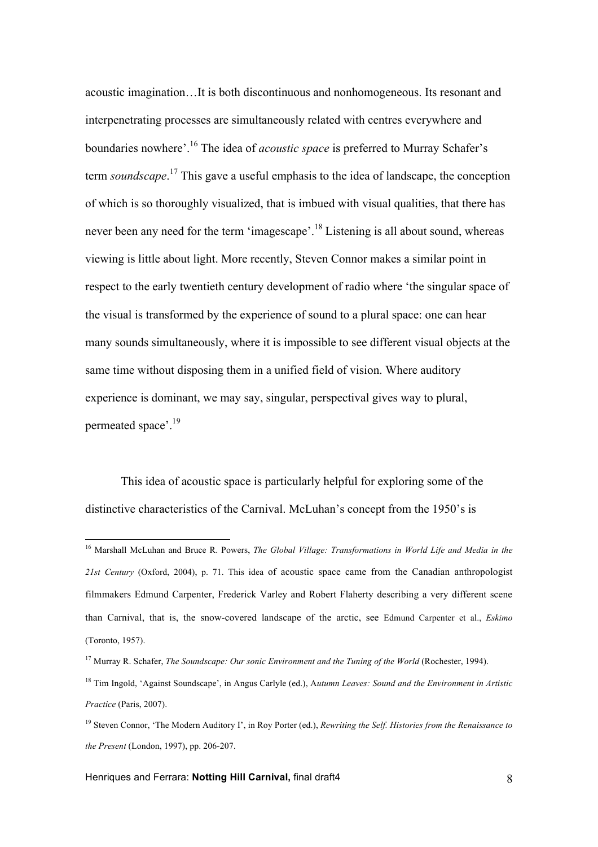acoustic imagination…It is both discontinuous and nonhomogeneous. Its resonant and interpenetrating processes are simultaneously related with centres everywhere and boundaries nowhere'.16 The idea of *acoustic space* is preferred to Murray Schafer's term *soundscape*. <sup>17</sup> This gave a useful emphasis to the idea of landscape, the conception of which is so thoroughly visualized, that is imbued with visual qualities, that there has never been any need for the term 'imagescape'.<sup>18</sup> Listening is all about sound, whereas viewing is little about light. More recently, Steven Connor makes a similar point in respect to the early twentieth century development of radio where 'the singular space of the visual is transformed by the experience of sound to a plural space: one can hear many sounds simultaneously, where it is impossible to see different visual objects at the same time without disposing them in a unified field of vision. Where auditory experience is dominant, we may say, singular, perspectival gives way to plural, permeated space'.<sup>19</sup>

This idea of acoustic space is particularly helpful for exploring some of the distinctive characteristics of the Carnival. McLuhan's concept from the 1950's is

 <sup>16</sup> Marshall McLuhan and Bruce R. Powers, *The Global Village: Transformations in World Life and Media in the 21st Century* (Oxford, 2004), p. 71. This idea of acoustic space came from the Canadian anthropologist filmmakers Edmund Carpenter, Frederick Varley and Robert Flaherty describing a very different scene than Carnival, that is, the snow-covered landscape of the arctic, see Edmund Carpenter et al., *Eskimo* (Toronto, 1957).

<sup>&</sup>lt;sup>17</sup> Murray R. Schafer, *The Soundscape: Our sonic Environment and the Tuning of the World* (Rochester, 1994).

<sup>18</sup> Tim Ingold, 'Against Soundscape', in Angus Carlyle (ed.), A*utumn Leaves: Sound and the Environment in Artistic Practice* (Paris, 2007).

<sup>19</sup> Steven Connor, 'The Modern Auditory I', in Roy Porter (ed.), *Rewriting the Self. Histories from the Renaissance to the Present* (London, 1997), pp. 206-207.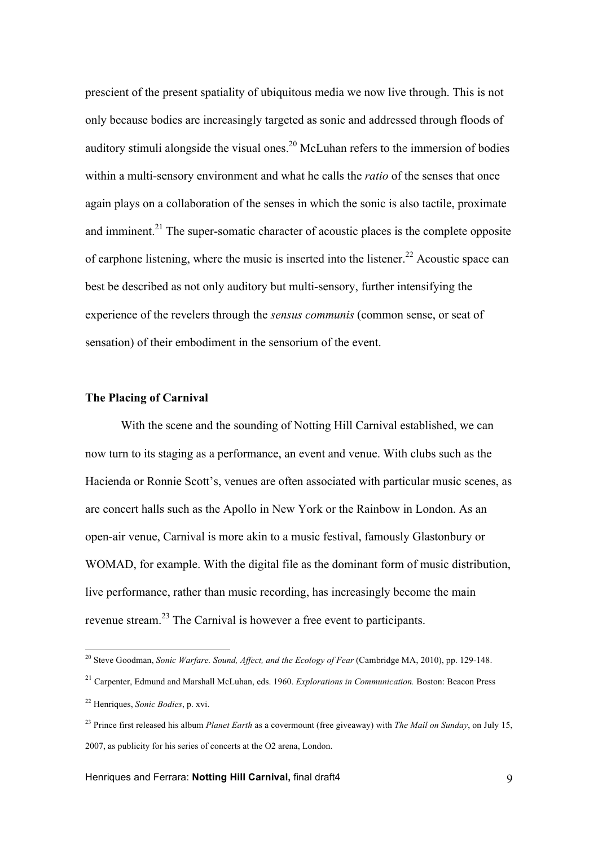prescient of the present spatiality of ubiquitous media we now live through. This is not only because bodies are increasingly targeted as sonic and addressed through floods of auditory stimuli alongside the visual ones.<sup>20</sup> McLuhan refers to the immersion of bodies within a multi-sensory environment and what he calls the *ratio* of the senses that once again plays on a collaboration of the senses in which the sonic is also tactile, proximate and imminent.<sup>21</sup> The super-somatic character of acoustic places is the complete opposite of earphone listening, where the music is inserted into the listener.<sup>22</sup> Acoustic space can best be described as not only auditory but multi-sensory, further intensifying the experience of the revelers through the *sensus communis* (common sense, or seat of sensation) of their embodiment in the sensorium of the event.

#### **The Placing of Carnival**

With the scene and the sounding of Notting Hill Carnival established, we can now turn to its staging as a performance, an event and venue. With clubs such as the Hacienda or Ronnie Scott's, venues are often associated with particular music scenes, as are concert halls such as the Apollo in New York or the Rainbow in London. As an open-air venue, Carnival is more akin to a music festival, famously Glastonbury or WOMAD, for example. With the digital file as the dominant form of music distribution, live performance, rather than music recording, has increasingly become the main revenue stream.<sup>23</sup> The Carnival is however a free event to participants.

 <sup>20</sup> Steve Goodman, *Sonic Warfare. Sound, Affect, and the Ecology of Fear* (Cambridge MA, 2010), pp. 129-148.

<sup>21</sup> Carpenter, Edmund and Marshall McLuhan, eds. 1960. *Explorations in Communication.* Boston: Beacon Press

<sup>22</sup> Henriques, *Sonic Bodies*, p. xvi.

<sup>23</sup> Prince first released his album *Planet Earth* as a covermount (free giveaway) with *The Mail on Sunday*, on July 15, 2007, as publicity for his series of concerts at the O2 arena, London.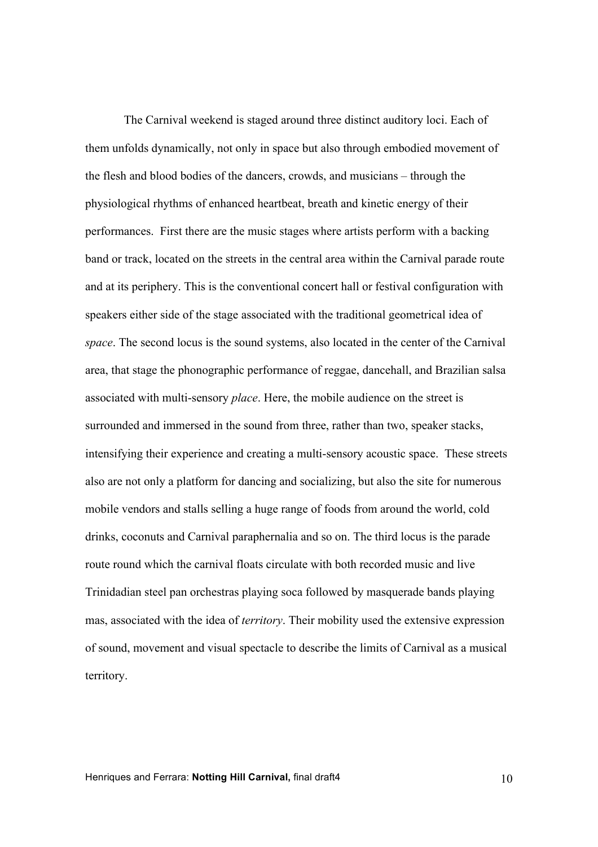The Carnival weekend is staged around three distinct auditory loci. Each of them unfolds dynamically, not only in space but also through embodied movement of the flesh and blood bodies of the dancers, crowds, and musicians – through the physiological rhythms of enhanced heartbeat, breath and kinetic energy of their performances. First there are the music stages where artists perform with a backing band or track, located on the streets in the central area within the Carnival parade route and at its periphery. This is the conventional concert hall or festival configuration with speakers either side of the stage associated with the traditional geometrical idea of *space*. The second locus is the sound systems, also located in the center of the Carnival area, that stage the phonographic performance of reggae, dancehall, and Brazilian salsa associated with multi-sensory *place*. Here, the mobile audience on the street is surrounded and immersed in the sound from three, rather than two, speaker stacks, intensifying their experience and creating a multi-sensory acoustic space. These streets also are not only a platform for dancing and socializing, but also the site for numerous mobile vendors and stalls selling a huge range of foods from around the world, cold drinks, coconuts and Carnival paraphernalia and so on. The third locus is the parade route round which the carnival floats circulate with both recorded music and live Trinidadian steel pan orchestras playing soca followed by masquerade bands playing mas, associated with the idea of *territory*. Their mobility used the extensive expression of sound, movement and visual spectacle to describe the limits of Carnival as a musical territory.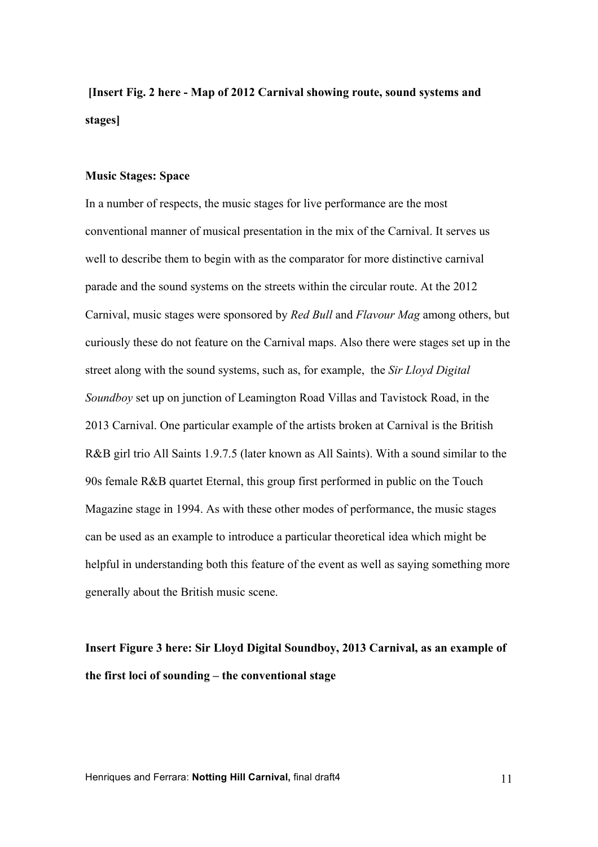**[Insert Fig. 2 here - Map of 2012 Carnival showing route, sound systems and stages]**

## **Music Stages: Space**

In a number of respects, the music stages for live performance are the most conventional manner of musical presentation in the mix of the Carnival. It serves us well to describe them to begin with as the comparator for more distinctive carnival parade and the sound systems on the streets within the circular route. At the 2012 Carnival, music stages were sponsored by *Red Bull* and *Flavour Mag* among others, but curiously these do not feature on the Carnival maps. Also there were stages set up in the street along with the sound systems, such as, for example, the *Sir Lloyd Digital Soundboy* set up on junction of Leamington Road Villas and Tavistock Road, in the 2013 Carnival. One particular example of the artists broken at Carnival is the British R&B girl trio All Saints 1.9.7.5 (later known as All Saints). With a sound similar to the 90s female R&B quartet Eternal, this group first performed in public on the Touch Magazine stage in 1994. As with these other modes of performance, the music stages can be used as an example to introduce a particular theoretical idea which might be helpful in understanding both this feature of the event as well as saying something more generally about the British music scene.

# **Insert Figure 3 here: Sir Lloyd Digital Soundboy, 2013 Carnival, as an example of the first loci of sounding – the conventional stage**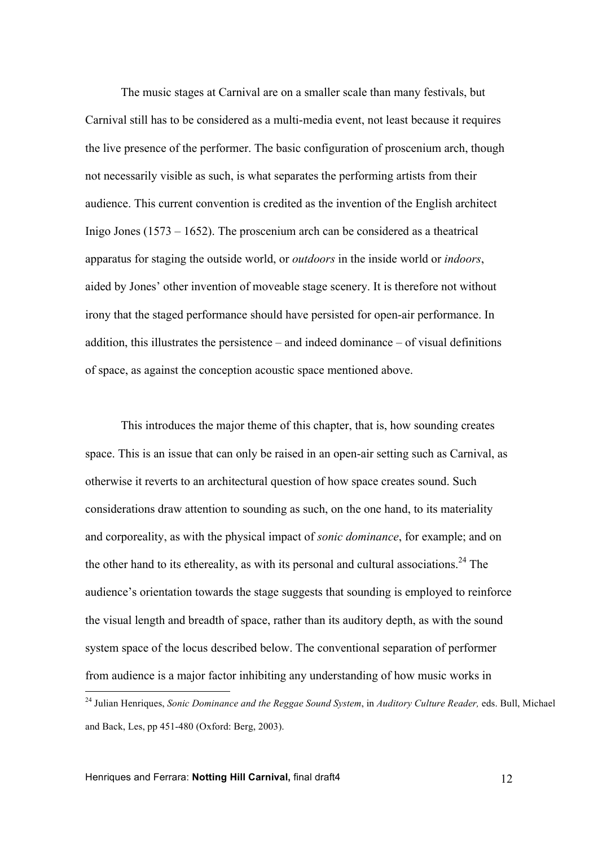The music stages at Carnival are on a smaller scale than many festivals, but Carnival still has to be considered as a multi-media event, not least because it requires the live presence of the performer. The basic configuration of proscenium arch, though not necessarily visible as such, is what separates the performing artists from their audience. This current convention is credited as the invention of the English architect Inigo Jones (1573 – 1652). The proscenium arch can be considered as a theatrical apparatus for staging the outside world, or *outdoors* in the inside world or *indoors*, aided by Jones' other invention of moveable stage scenery. It is therefore not without irony that the staged performance should have persisted for open-air performance. In addition, this illustrates the persistence – and indeed dominance – of visual definitions of space, as against the conception acoustic space mentioned above.

This introduces the major theme of this chapter, that is, how sounding creates space. This is an issue that can only be raised in an open-air setting such as Carnival, as otherwise it reverts to an architectural question of how space creates sound. Such considerations draw attention to sounding as such, on the one hand, to its materiality and corporeality, as with the physical impact of *sonic dominance*, for example; and on the other hand to its ethereality, as with its personal and cultural associations.<sup>24</sup> The audience's orientation towards the stage suggests that sounding is employed to reinforce the visual length and breadth of space, rather than its auditory depth, as with the sound system space of the locus described below. The conventional separation of performer from audience is a major factor inhibiting any understanding of how music works in

 <sup>24</sup> Julian Henriques, *Sonic Dominance and the Reggae Sound System*, in *Auditory Culture Reader,* eds. Bull, Michael and Back, Les, pp 451-480 (Oxford: Berg, 2003).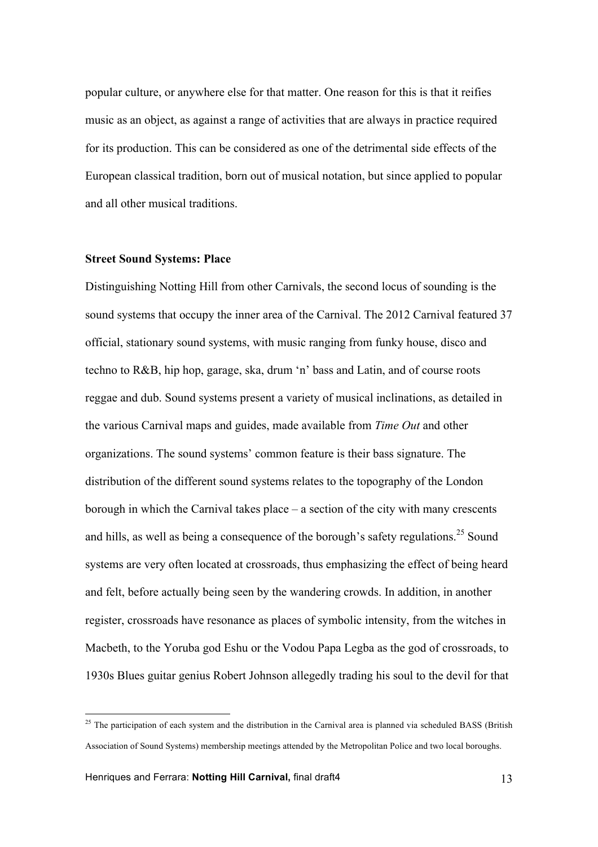popular culture, or anywhere else for that matter. One reason for this is that it reifies music as an object, as against a range of activities that are always in practice required for its production. This can be considered as one of the detrimental side effects of the European classical tradition, born out of musical notation, but since applied to popular and all other musical traditions.

## **Street Sound Systems: Place**

Distinguishing Notting Hill from other Carnivals, the second locus of sounding is the sound systems that occupy the inner area of the Carnival. The 2012 Carnival featured 37 official, stationary sound systems, with music ranging from funky house, disco and techno to R&B, hip hop, garage, ska, drum 'n' bass and Latin, and of course roots reggae and dub. Sound systems present a variety of musical inclinations, as detailed in the various Carnival maps and guides, made available from *Time Out* and other organizations. The sound systems' common feature is their bass signature. The distribution of the different sound systems relates to the topography of the London borough in which the Carnival takes place – a section of the city with many crescents and hills, as well as being a consequence of the borough's safety regulations.<sup>25</sup> Sound systems are very often located at crossroads, thus emphasizing the effect of being heard and felt, before actually being seen by the wandering crowds. In addition, in another register, crossroads have resonance as places of symbolic intensity, from the witches in Macbeth, to the Yoruba god Eshu or the Vodou Papa Legba as the god of crossroads, to 1930s Blues guitar genius Robert Johnson allegedly trading his soul to the devil for that

 $25$  The participation of each system and the distribution in the Carnival area is planned via scheduled BASS (British Association of Sound Systems) membership meetings attended by the Metropolitan Police and two local boroughs.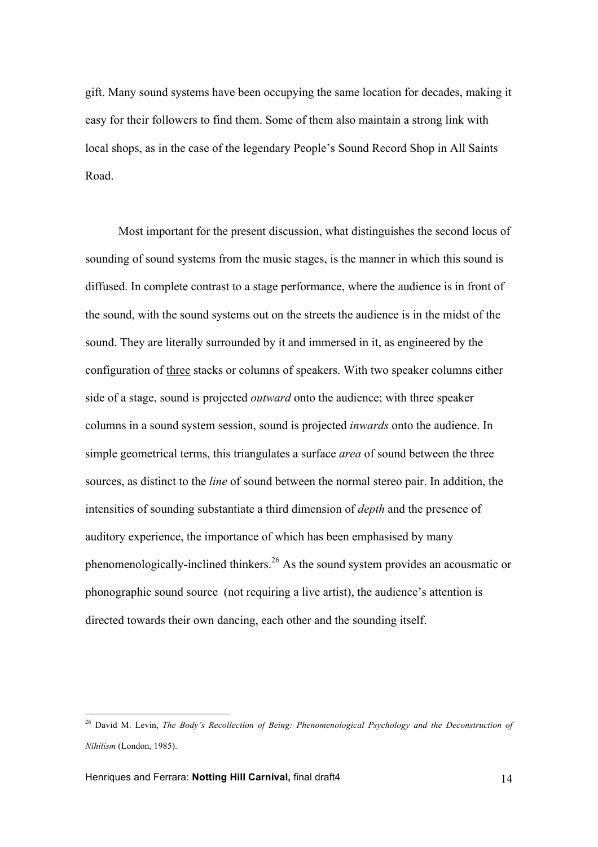gift. Many sound systems have been occupying the same location for decades, making it easy for their followers to find them. Some of them also maintain a strong link with local shops, as in the case of the legendary People's Sound Record Shop in All Saints Road.

 Most important for the present discussion, what distinguishes the second locus of sounding of sound systems from the music stages, is the manner in which this sound is diffused. In complete contrast to a stage performance, where the audience is in front of the sound, with the sound systems out on the streets the audience is in the midst of the sound. They are literally surrounded by it and immersed in it, as engineered by the configuration of three stacks or columns of speakers. With two speaker columns either side of a stage, sound is projected *outward* onto the audience; with three speaker columns in a sound system session, sound is projected *inwards* onto the audience. In simple geometrical terms, this triangulates a surface *area* of sound between the three sources, as distinct to the *line* of sound between the normal stereo pair. In addition, the intensities of sounding substantiate a third dimension of *depth* and the presence of auditory experience, the importance of which has been emphasised by many phenomenologically-inclined thinkers.26 As the sound system provides an acousmatic or phonographic sound source (not requiring a live artist), the audience's attention is directed towards their own dancing, each other and the sounding itself.

<sup>&</sup>lt;sup>26</sup> David M. Levin, *The Body's Recollection of Being: Phenomenological Psychology and the Deconstruction of Nihilism* (London, 1985).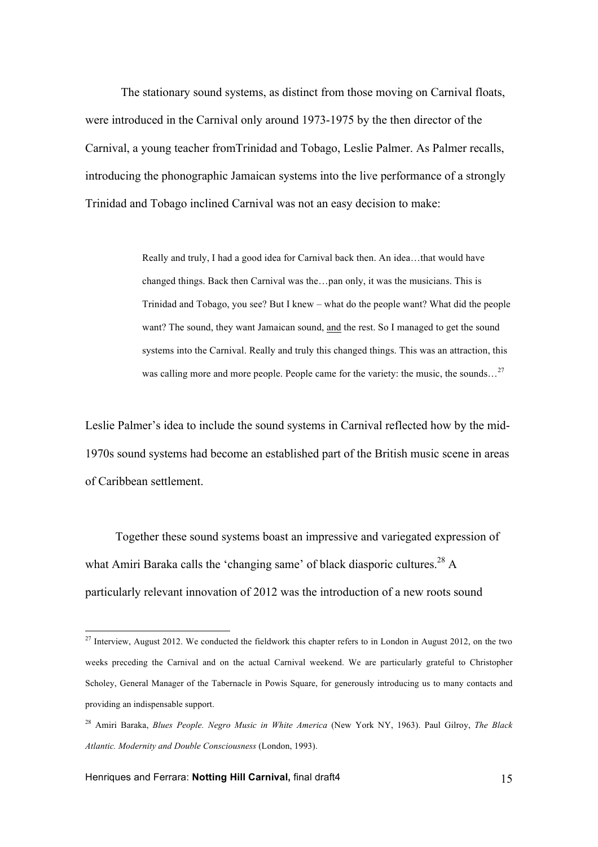The stationary sound systems, as distinct from those moving on Carnival floats, were introduced in the Carnival only around 1973-1975 by the then director of the Carnival, a young teacher fromTrinidad and Tobago, Leslie Palmer. As Palmer recalls, introducing the phonographic Jamaican systems into the live performance of a strongly Trinidad and Tobago inclined Carnival was not an easy decision to make:

> Really and truly, I had a good idea for Carnival back then. An idea…that would have changed things. Back then Carnival was the…pan only, it was the musicians. This is Trinidad and Tobago, you see? But I knew – what do the people want? What did the people want? The sound, they want Jamaican sound, and the rest. So I managed to get the sound systems into the Carnival. Really and truly this changed things. This was an attraction, this was calling more and more people. People came for the variety: the music, the sounds...<sup>27</sup>

Leslie Palmer's idea to include the sound systems in Carnival reflected how by the mid-1970s sound systems had become an established part of the British music scene in areas of Caribbean settlement.

 Together these sound systems boast an impressive and variegated expression of what Amiri Baraka calls the 'changing same' of black diasporic cultures.<sup>28</sup> A particularly relevant innovation of 2012 was the introduction of a new roots sound

 $27$  Interview, August 2012. We conducted the fieldwork this chapter refers to in London in August 2012, on the two weeks preceding the Carnival and on the actual Carnival weekend. We are particularly grateful to Christopher Scholey, General Manager of the Tabernacle in Powis Square, for generously introducing us to many contacts and providing an indispensable support.

<sup>28</sup> Amiri Baraka, *Blues People. Negro Music in White America* (New York NY, 1963). Paul Gilroy, *The Black Atlantic. Modernity and Double Consciousness* (London, 1993).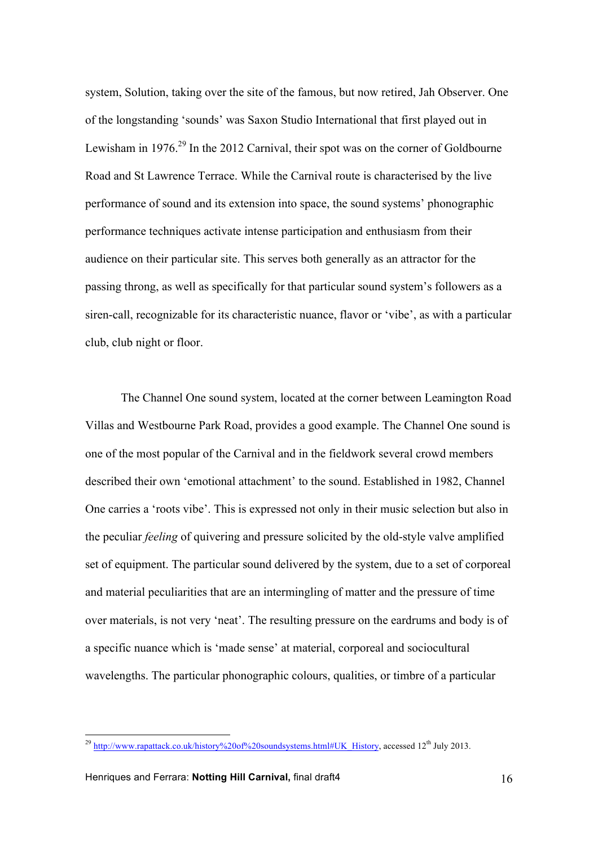system, Solution, taking over the site of the famous, but now retired, Jah Observer. One of the longstanding 'sounds' was Saxon Studio International that first played out in Lewisham in  $1976<sup>29</sup>$  In the 2012 Carnival, their spot was on the corner of Goldbourne Road and St Lawrence Terrace. While the Carnival route is characterised by the live performance of sound and its extension into space, the sound systems' phonographic performance techniques activate intense participation and enthusiasm from their audience on their particular site. This serves both generally as an attractor for the passing throng, as well as specifically for that particular sound system's followers as a siren-call, recognizable for its characteristic nuance, flavor or 'vibe', as with a particular club, club night or floor.

The Channel One sound system, located at the corner between Leamington Road Villas and Westbourne Park Road, provides a good example. The Channel One sound is one of the most popular of the Carnival and in the fieldwork several crowd members described their own 'emotional attachment' to the sound. Established in 1982, Channel One carries a 'roots vibe'. This is expressed not only in their music selection but also in the peculiar *feeling* of quivering and pressure solicited by the old-style valve amplified set of equipment. The particular sound delivered by the system, due to a set of corporeal and material peculiarities that are an intermingling of matter and the pressure of time over materials, is not very 'neat'. The resulting pressure on the eardrums and body is of a specific nuance which is 'made sense' at material, corporeal and sociocultural wavelengths. The particular phonographic colours, qualities, or timbre of a particular

<sup>&</sup>lt;sup>29</sup> http://www.rapattack.co.uk/history%20of%20soundsystems.html#UK\_History, accessed 12<sup>th</sup> July 2013.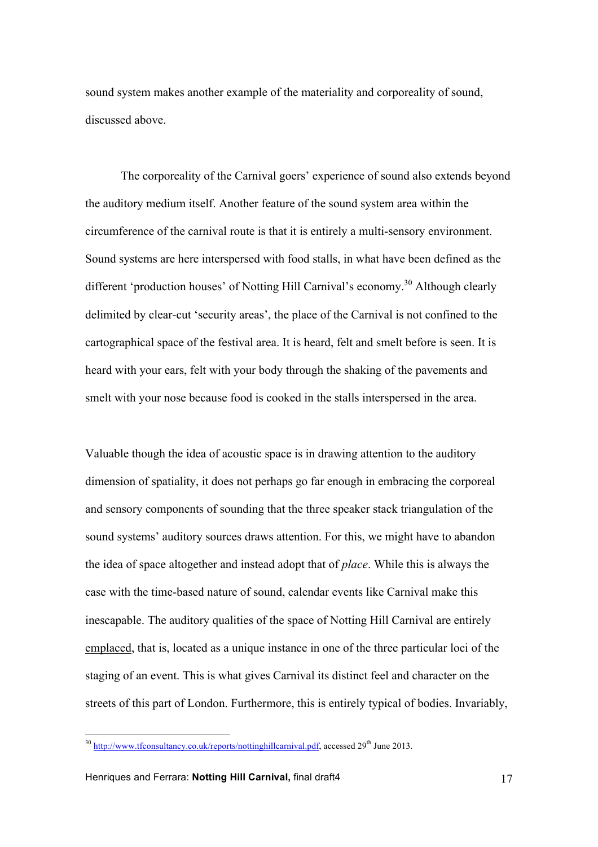sound system makes another example of the materiality and corporeality of sound, discussed above.

The corporeality of the Carnival goers' experience of sound also extends beyond the auditory medium itself. Another feature of the sound system area within the circumference of the carnival route is that it is entirely a multi-sensory environment. Sound systems are here interspersed with food stalls, in what have been defined as the different 'production houses' of Notting Hill Carnival's economy.<sup>30</sup> Although clearly delimited by clear-cut 'security areas', the place of the Carnival is not confined to the cartographical space of the festival area. It is heard, felt and smelt before is seen. It is heard with your ears, felt with your body through the shaking of the pavements and smelt with your nose because food is cooked in the stalls interspersed in the area.

Valuable though the idea of acoustic space is in drawing attention to the auditory dimension of spatiality, it does not perhaps go far enough in embracing the corporeal and sensory components of sounding that the three speaker stack triangulation of the sound systems' auditory sources draws attention. For this, we might have to abandon the idea of space altogether and instead adopt that of *place*. While this is always the case with the time-based nature of sound, calendar events like Carnival make this inescapable. The auditory qualities of the space of Notting Hill Carnival are entirely emplaced, that is, located as a unique instance in one of the three particular loci of the staging of an event. This is what gives Carnival its distinct feel and character on the streets of this part of London. Furthermore, this is entirely typical of bodies. Invariably,

 $30$  http://www.tfconsultancy.co.uk/reports/nottinghillcarnival.pdf, accessed  $29<sup>th</sup>$  June 2013.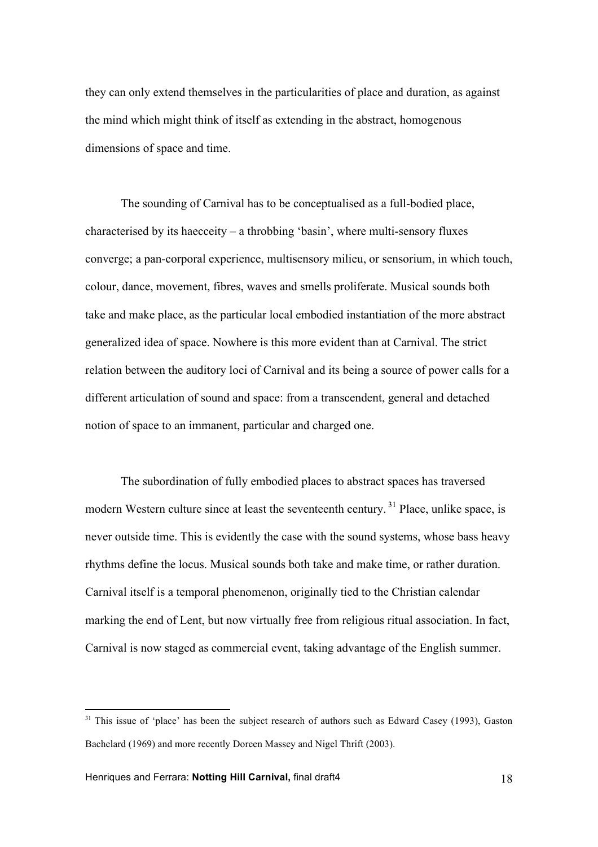they can only extend themselves in the particularities of place and duration, as against the mind which might think of itself as extending in the abstract, homogenous dimensions of space and time.

The sounding of Carnival has to be conceptualised as a full-bodied place, characterised by its haecceity – a throbbing 'basin', where multi-sensory fluxes converge; a pan-corporal experience, multisensory milieu, or sensorium, in which touch, colour, dance, movement, fibres, waves and smells proliferate. Musical sounds both take and make place, as the particular local embodied instantiation of the more abstract generalized idea of space. Nowhere is this more evident than at Carnival. The strict relation between the auditory loci of Carnival and its being a source of power calls for a different articulation of sound and space: from a transcendent, general and detached notion of space to an immanent, particular and charged one.

The subordination of fully embodied places to abstract spaces has traversed modern Western culture since at least the seventeenth century.<sup>31</sup> Place, unlike space, is never outside time. This is evidently the case with the sound systems, whose bass heavy rhythms define the locus. Musical sounds both take and make time, or rather duration. Carnival itself is a temporal phenomenon, originally tied to the Christian calendar marking the end of Lent, but now virtually free from religious ritual association. In fact, Carnival is now staged as commercial event, taking advantage of the English summer.

 $31$  This issue of 'place' has been the subject research of authors such as Edward Casey (1993), Gaston Bachelard (1969) and more recently Doreen Massey and Nigel Thrift (2003).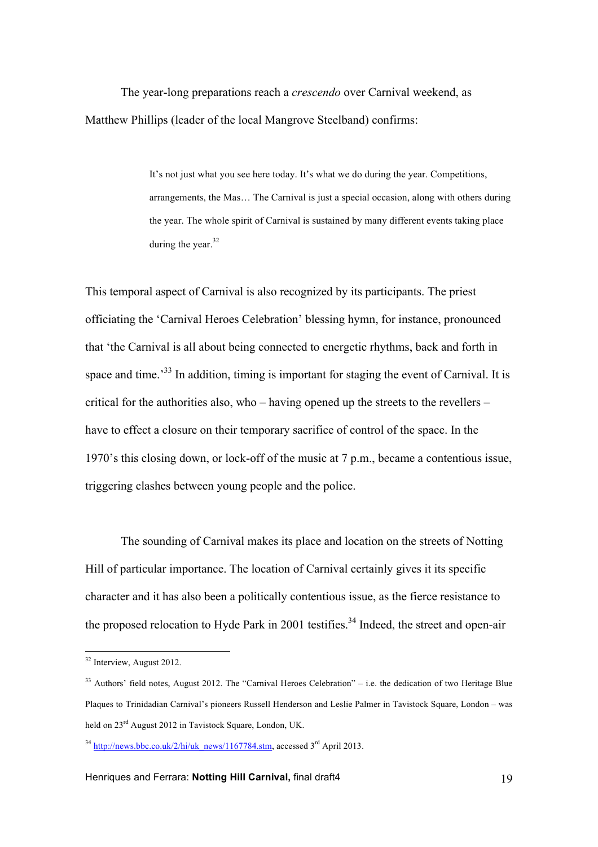The year-long preparations reach a *crescendo* over Carnival weekend, as Matthew Phillips (leader of the local Mangrove Steelband) confirms:

> It's not just what you see here today. It's what we do during the year. Competitions, arrangements, the Mas… The Carnival is just a special occasion, along with others during the year. The whole spirit of Carnival is sustained by many different events taking place during the year. $32$

This temporal aspect of Carnival is also recognized by its participants. The priest officiating the 'Carnival Heroes Celebration' blessing hymn, for instance, pronounced that 'the Carnival is all about being connected to energetic rhythms, back and forth in space and time.<sup>33</sup> In addition, timing is important for staging the event of Carnival. It is critical for the authorities also, who – having opened up the streets to the revellers – have to effect a closure on their temporary sacrifice of control of the space. In the 1970's this closing down, or lock-off of the music at 7 p.m., became a contentious issue, triggering clashes between young people and the police.

The sounding of Carnival makes its place and location on the streets of Notting Hill of particular importance. The location of Carnival certainly gives it its specific character and it has also been a politically contentious issue, as the fierce resistance to the proposed relocation to Hyde Park in 2001 testifies.<sup>34</sup> Indeed, the street and open-air

<sup>&</sup>lt;sup>32</sup> Interview, August 2012.

<sup>&</sup>lt;sup>33</sup> Authors' field notes, August 2012. The "Carnival Heroes Celebration" – i.e. the dedication of two Heritage Blue Plaques to Trinidadian Carnival's pioneers Russell Henderson and Leslie Palmer in Tavistock Square, London – was held on 23<sup>rd</sup> August 2012 in Tavistock Square, London, UK.

 $34 \text{ http://news.bbc.co.uk/2/hi/uk-news/1167784.stm. accessed }$  3<sup>rd</sup> April 2013.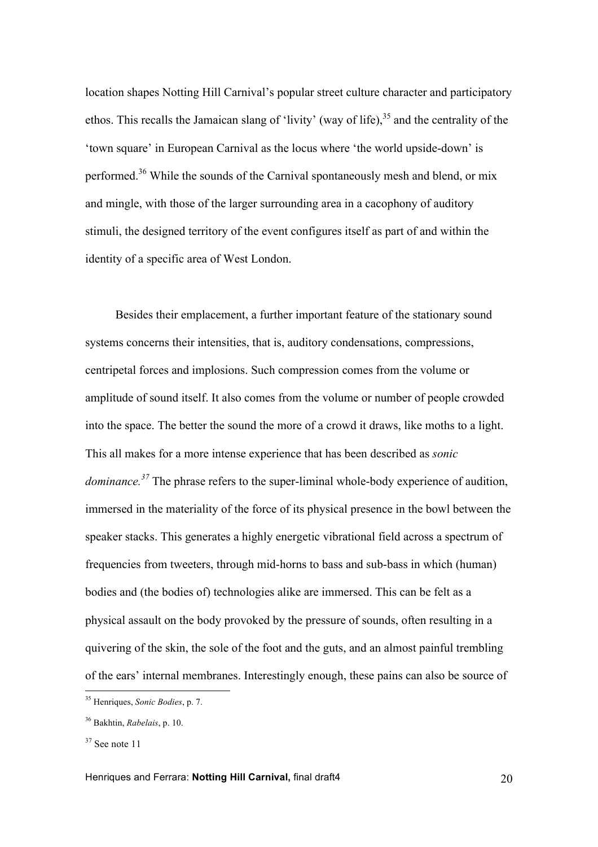location shapes Notting Hill Carnival's popular street culture character and participatory ethos. This recalls the Jamaican slang of 'livity' (way of life),<sup>35</sup> and the centrality of the 'town square' in European Carnival as the locus where 'the world upside-down' is performed.<sup>36</sup> While the sounds of the Carnival spontaneously mesh and blend, or mix and mingle, with those of the larger surrounding area in a cacophony of auditory stimuli, the designed territory of the event configures itself as part of and within the identity of a specific area of West London.

 Besides their emplacement, a further important feature of the stationary sound systems concerns their intensities, that is, auditory condensations, compressions, centripetal forces and implosions. Such compression comes from the volume or amplitude of sound itself. It also comes from the volume or number of people crowded into the space. The better the sound the more of a crowd it draws, like moths to a light. This all makes for a more intense experience that has been described as *sonic dominance. <sup>37</sup>* The phrase refers to the super-liminal whole-body experience of audition, immersed in the materiality of the force of its physical presence in the bowl between the speaker stacks. This generates a highly energetic vibrational field across a spectrum of frequencies from tweeters, through mid-horns to bass and sub-bass in which (human) bodies and (the bodies of) technologies alike are immersed. This can be felt as a physical assault on the body provoked by the pressure of sounds, often resulting in a quivering of the skin, the sole of the foot and the guts, and an almost painful trembling of the ears' internal membranes. Interestingly enough, these pains can also be source of

 <sup>35</sup> Henriques, *Sonic Bodies*, p. 7.

<sup>36</sup> Bakhtin, *Rabelais*, p. 10.

 $37$  See note 11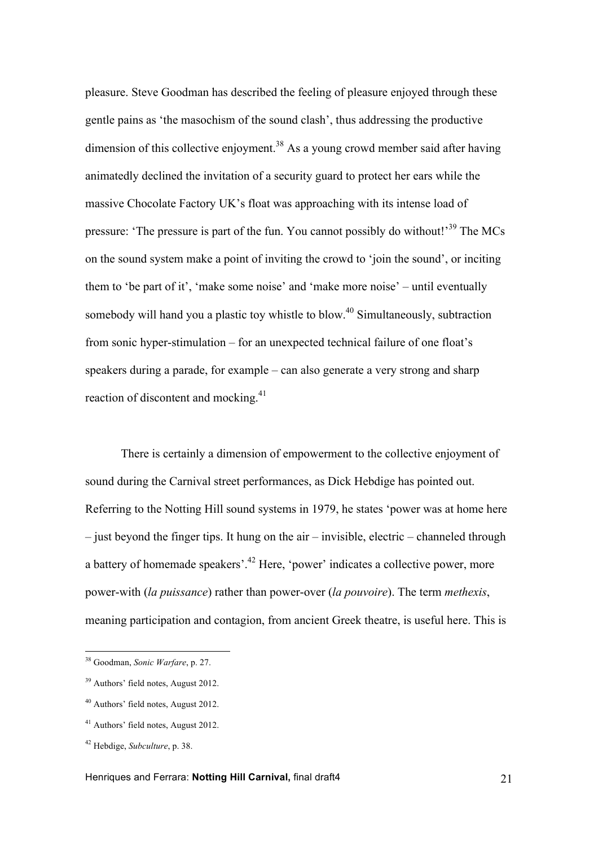pleasure. Steve Goodman has described the feeling of pleasure enjoyed through these gentle pains as 'the masochism of the sound clash', thus addressing the productive dimension of this collective enjoyment.<sup>38</sup> As a young crowd member said after having animatedly declined the invitation of a security guard to protect her ears while the massive Chocolate Factory UK's float was approaching with its intense load of pressure: 'The pressure is part of the fun. You cannot possibly do without!'<sup>39</sup> The MCs on the sound system make a point of inviting the crowd to 'join the sound', or inciting them to 'be part of it', 'make some noise' and 'make more noise' – until eventually somebody will hand you a plastic toy whistle to blow.<sup>40</sup> Simultaneously, subtraction from sonic hyper-stimulation – for an unexpected technical failure of one float's speakers during a parade, for example – can also generate a very strong and sharp reaction of discontent and mocking.<sup>41</sup>

There is certainly a dimension of empowerment to the collective enjoyment of sound during the Carnival street performances, as Dick Hebdige has pointed out. Referring to the Notting Hill sound systems in 1979, he states 'power was at home here – just beyond the finger tips. It hung on the air – invisible, electric – channeled through a battery of homemade speakers'.42 Here, 'power' indicates a collective power, more power-with (*la puissance*) rather than power-over (*la pouvoire*). The term *methexis*, meaning participation and contagion, from ancient Greek theatre, is useful here. This is

 <sup>38</sup> Goodman, *Sonic Warfare*, p. 27.

<sup>39</sup> Authors' field notes, August 2012.

<sup>40</sup> Authors' field notes, August 2012.

<sup>41</sup> Authors' field notes, August 2012.

<sup>42</sup> Hebdige, *Subculture*, p. 38.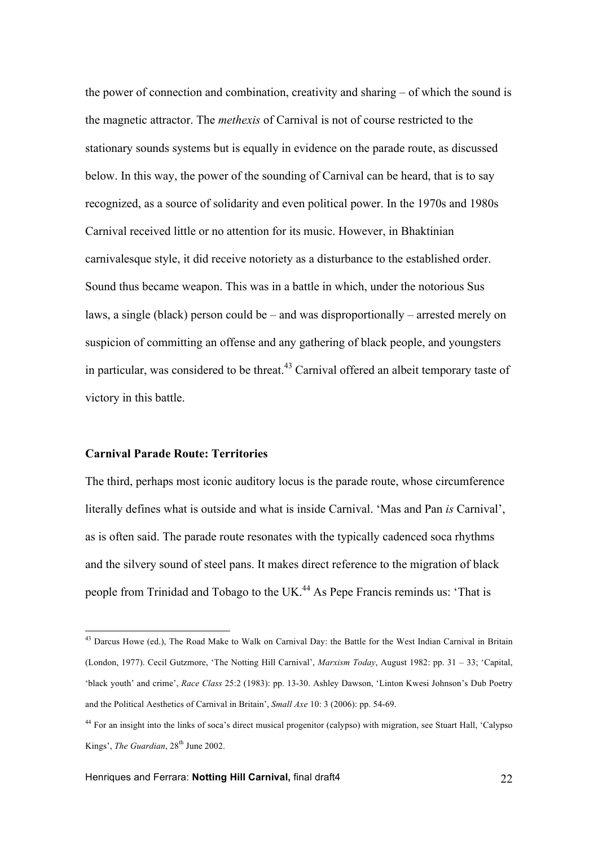the power of connection and combination, creativity and sharing – of which the sound is the magnetic attractor. The *methexis* of Carnival is not of course restricted to the stationary sounds systems but is equally in evidence on the parade route, as discussed below. In this way, the power of the sounding of Carnival can be heard, that is to say recognized, as a source of solidarity and even political power. In the 1970s and 1980s Carnival received little or no attention for its music. However, in Bhaktinian carnivalesque style, it did receive notoriety as a disturbance to the established order. Sound thus became weapon. This was in a battle in which, under the notorious Sus laws, a single (black) person could be – and was disproportionally – arrested merely on suspicion of committing an offense and any gathering of black people, and youngsters in particular, was considered to be threat.<sup>43</sup> Carnival offered an albeit temporary taste of victory in this battle.

## **Carnival Parade Route: Territories**

The third, perhaps most iconic auditory locus is the parade route, whose circumference literally defines what is outside and what is inside Carnival. 'Mas and Pan *is* Carnival', as is often said. The parade route resonates with the typically cadenced soca rhythms and the silvery sound of steel pans. It makes direct reference to the migration of black people from Trinidad and Tobago to the UK.<sup>44</sup> As Pepe Francis reminds us: 'That is

<sup>&</sup>lt;sup>43</sup> Darcus Howe (ed.), The Road Make to Walk on Carnival Day: the Battle for the West Indian Carnival in Britain (London, 1977). Cecil Gutzmore, 'The Notting Hill Carnival', *Marxism Today*, August 1982: pp. 31 – 33; 'Capital, 'black youth' and crime', *Race Class* 25:2 (1983): pp. 13-30. Ashley Dawson, 'Linton Kwesi Johnson's Dub Poetry and the Political Aesthetics of Carnival in Britain', *Small Axe* 10: 3 (2006): pp. 54-69.

<sup>44</sup> For an insight into the links of soca's direct musical progenitor (calypso) with migration, see Stuart Hall, 'Calypso Kings', *The Guardian*, 28<sup>th</sup> June 2002.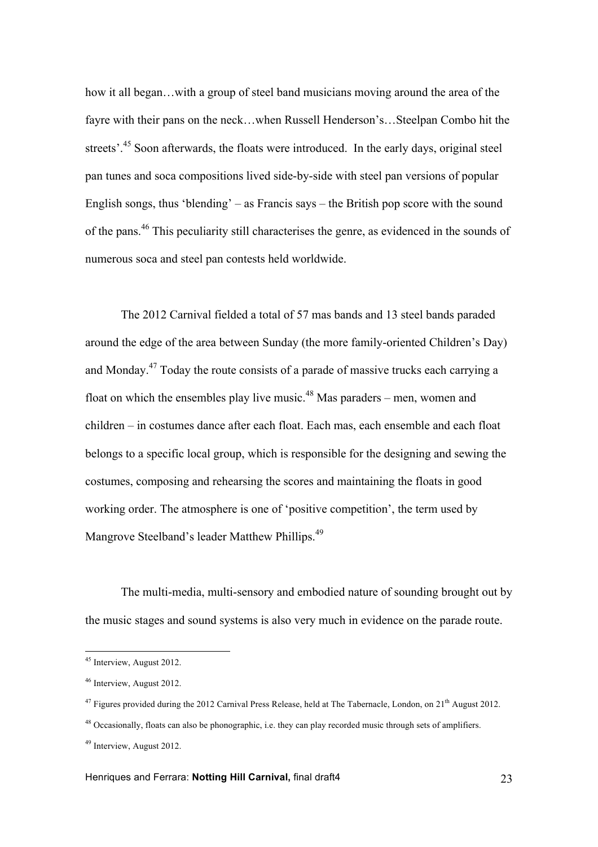how it all began…with a group of steel band musicians moving around the area of the fayre with their pans on the neck…when Russell Henderson's…Steelpan Combo hit the streets'.<sup>45</sup> Soon afterwards, the floats were introduced. In the early days, original steel pan tunes and soca compositions lived side-by-side with steel pan versions of popular English songs, thus 'blending' – as Francis says – the British pop score with the sound of the pans.<sup>46</sup> This peculiarity still characterises the genre, as evidenced in the sounds of numerous soca and steel pan contests held worldwide.

The 2012 Carnival fielded a total of 57 mas bands and 13 steel bands paraded around the edge of the area between Sunday (the more family-oriented Children's Day) and Monday.<sup>47</sup> Today the route consists of a parade of massive trucks each carrying a float on which the ensembles play live music.<sup>48</sup> Mas paraders – men, women and children – in costumes dance after each float. Each mas, each ensemble and each float belongs to a specific local group, which is responsible for the designing and sewing the costumes, composing and rehearsing the scores and maintaining the floats in good working order. The atmosphere is one of 'positive competition', the term used by Mangrove Steelband's leader Matthew Phillips.<sup>49</sup>

The multi-media, multi-sensory and embodied nature of sounding brought out by the music stages and sound systems is also very much in evidence on the parade route.

## Henriques and Ferrara: **Notting Hill Carnival,** final draft4 **1998** 23

 <sup>45</sup> Interview, August 2012.

<sup>46</sup> Interview, August 2012.

 $47$  Figures provided during the 2012 Carnival Press Release, held at The Tabernacle, London, on  $21<sup>th</sup>$  August 2012.

<sup>&</sup>lt;sup>48</sup> Occasionally, floats can also be phonographic, i.e. they can play recorded music through sets of amplifiers.

<sup>49</sup> Interview, August 2012.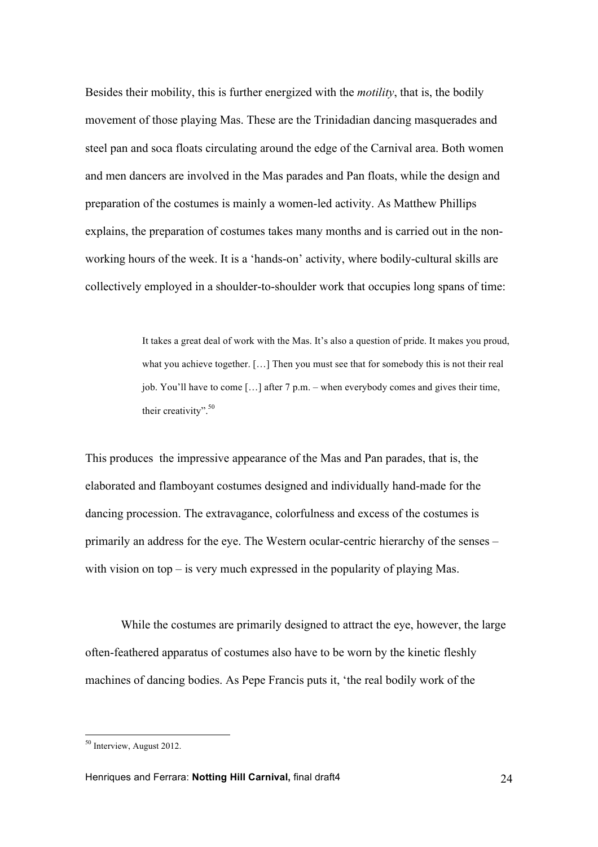Besides their mobility, this is further energized with the *motility*, that is, the bodily movement of those playing Mas. These are the Trinidadian dancing masquerades and steel pan and soca floats circulating around the edge of the Carnival area. Both women and men dancers are involved in the Mas parades and Pan floats, while the design and preparation of the costumes is mainly a women-led activity. As Matthew Phillips explains, the preparation of costumes takes many months and is carried out in the nonworking hours of the week. It is a 'hands-on' activity, where bodily-cultural skills are collectively employed in a shoulder-to-shoulder work that occupies long spans of time:

> It takes a great deal of work with the Mas. It's also a question of pride. It makes you proud, what you achieve together. […] Then you must see that for somebody this is not their real job. You'll have to come […] after 7 p.m. – when everybody comes and gives their time, their creativity".<sup>50</sup>

This produces the impressive appearance of the Mas and Pan parades, that is, the elaborated and flamboyant costumes designed and individually hand-made for the dancing procession. The extravagance, colorfulness and excess of the costumes is primarily an address for the eye. The Western ocular-centric hierarchy of the senses – with vision on top – is very much expressed in the popularity of playing Mas.

While the costumes are primarily designed to attract the eye, however, the large often-feathered apparatus of costumes also have to be worn by the kinetic fleshly machines of dancing bodies. As Pepe Francis puts it, 'the real bodily work of the

 <sup>50</sup> Interview, August 2012.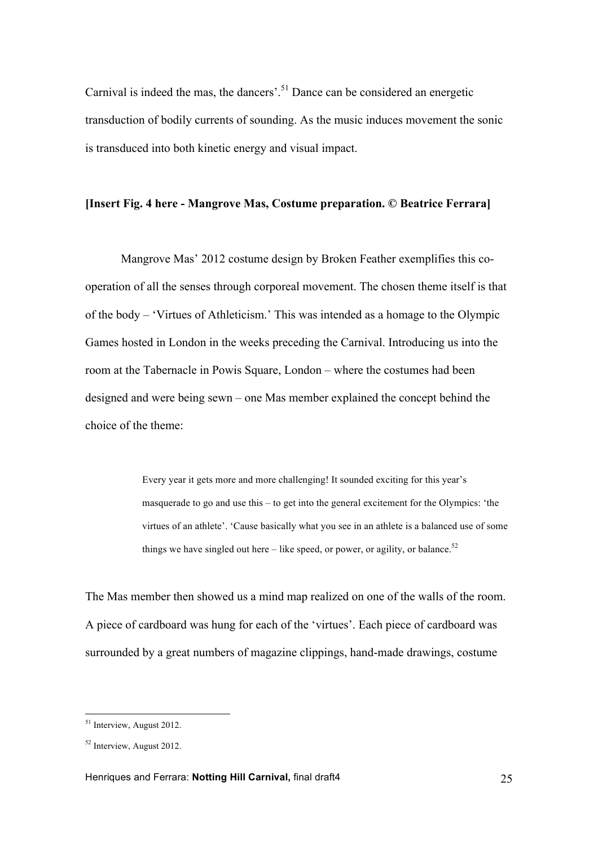Carnival is indeed the mas, the dancers'.<sup>51</sup> Dance can be considered an energetic transduction of bodily currents of sounding. As the music induces movement the sonic is transduced into both kinetic energy and visual impact.

# **[Insert Fig. 4 here - Mangrove Mas, Costume preparation. © Beatrice Ferrara]**

Mangrove Mas' 2012 costume design by Broken Feather exemplifies this cooperation of all the senses through corporeal movement. The chosen theme itself is that of the body – 'Virtues of Athleticism.' This was intended as a homage to the Olympic Games hosted in London in the weeks preceding the Carnival. Introducing us into the room at the Tabernacle in Powis Square, London – where the costumes had been designed and were being sewn – one Mas member explained the concept behind the choice of the theme:

> Every year it gets more and more challenging! It sounded exciting for this year's masquerade to go and use this – to get into the general excitement for the Olympics: 'the virtues of an athlete'. 'Cause basically what you see in an athlete is a balanced use of some things we have singled out here – like speed, or power, or agility, or balance.<sup>52</sup>

The Mas member then showed us a mind map realized on one of the walls of the room. A piece of cardboard was hung for each of the 'virtues'. Each piece of cardboard was surrounded by a great numbers of magazine clippings, hand-made drawings, costume

 <sup>51</sup> Interview, August 2012.

<sup>52</sup> Interview, August 2012.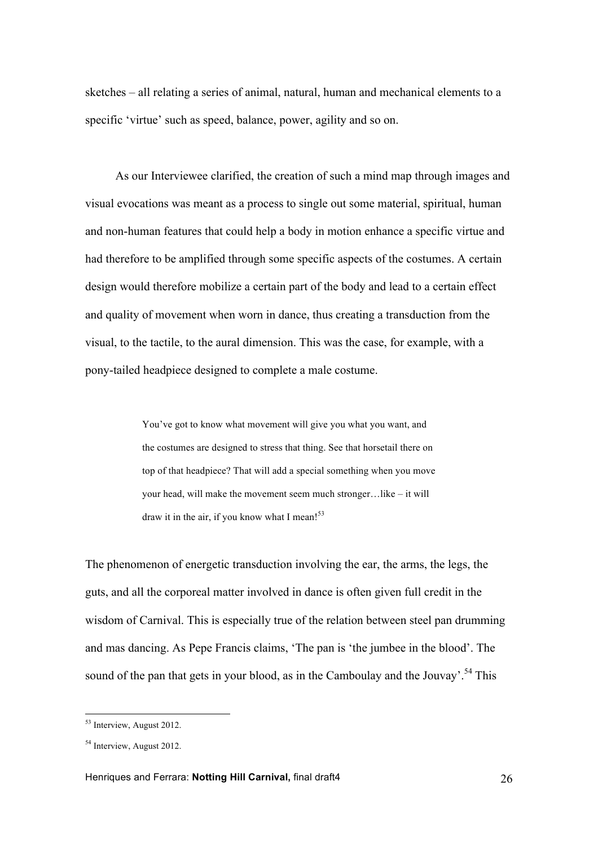sketches – all relating a series of animal, natural, human and mechanical elements to a specific 'virtue' such as speed, balance, power, agility and so on.

 As our Interviewee clarified, the creation of such a mind map through images and visual evocations was meant as a process to single out some material, spiritual, human and non-human features that could help a body in motion enhance a specific virtue and had therefore to be amplified through some specific aspects of the costumes. A certain design would therefore mobilize a certain part of the body and lead to a certain effect and quality of movement when worn in dance, thus creating a transduction from the visual, to the tactile, to the aural dimension. This was the case, for example, with a pony-tailed headpiece designed to complete a male costume.

> You've got to know what movement will give you what you want, and the costumes are designed to stress that thing. See that horsetail there on top of that headpiece? That will add a special something when you move your head, will make the movement seem much stronger…like – it will draw it in the air, if you know what I mean!<sup>53</sup>

The phenomenon of energetic transduction involving the ear, the arms, the legs, the guts, and all the corporeal matter involved in dance is often given full credit in the wisdom of Carnival. This is especially true of the relation between steel pan drumming and mas dancing. As Pepe Francis claims, 'The pan is 'the jumbee in the blood'. The sound of the pan that gets in your blood, as in the Camboulay and the Jouvay'.<sup>54</sup> This

 <sup>53</sup> Interview, August 2012.

<sup>54</sup> Interview, August 2012.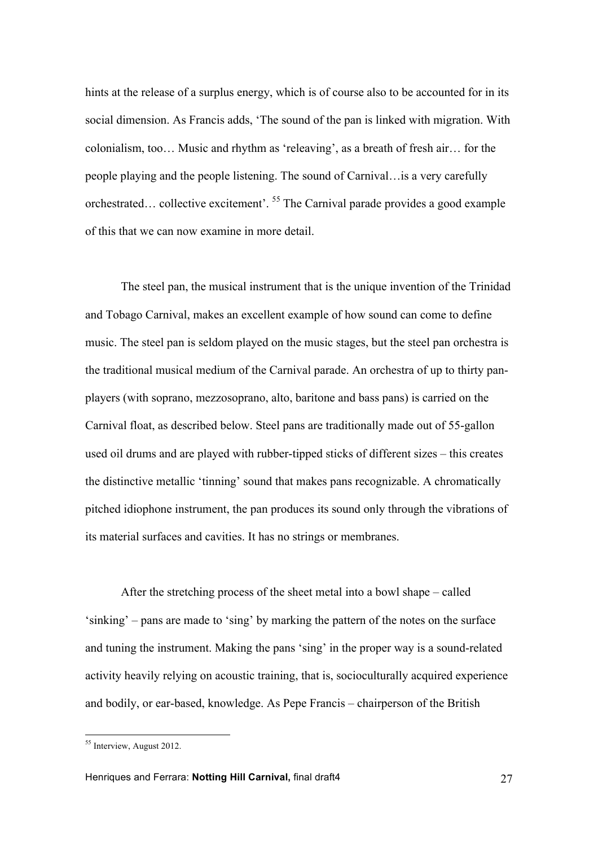hints at the release of a surplus energy, which is of course also to be accounted for in its social dimension. As Francis adds, 'The sound of the pan is linked with migration. With colonialism, too… Music and rhythm as 'releaving', as a breath of fresh air… for the people playing and the people listening. The sound of Carnival…is a very carefully orchestrated… collective excitement'. <sup>55</sup> The Carnival parade provides a good example of this that we can now examine in more detail.

The steel pan, the musical instrument that is the unique invention of the Trinidad and Tobago Carnival, makes an excellent example of how sound can come to define music. The steel pan is seldom played on the music stages, but the steel pan orchestra is the traditional musical medium of the Carnival parade. An orchestra of up to thirty panplayers (with soprano, mezzosoprano, alto, baritone and bass pans) is carried on the Carnival float, as described below. Steel pans are traditionally made out of 55-gallon used oil drums and are played with rubber-tipped sticks of different sizes – this creates the distinctive metallic 'tinning' sound that makes pans recognizable. A chromatically pitched idiophone instrument, the pan produces its sound only through the vibrations of its material surfaces and cavities. It has no strings or membranes.

After the stretching process of the sheet metal into a bowl shape – called 'sinking' – pans are made to 'sing' by marking the pattern of the notes on the surface and tuning the instrument. Making the pans 'sing' in the proper way is a sound-related activity heavily relying on acoustic training, that is, socioculturally acquired experience and bodily, or ear-based, knowledge. As Pepe Francis – chairperson of the British

 <sup>55</sup> Interview, August 2012.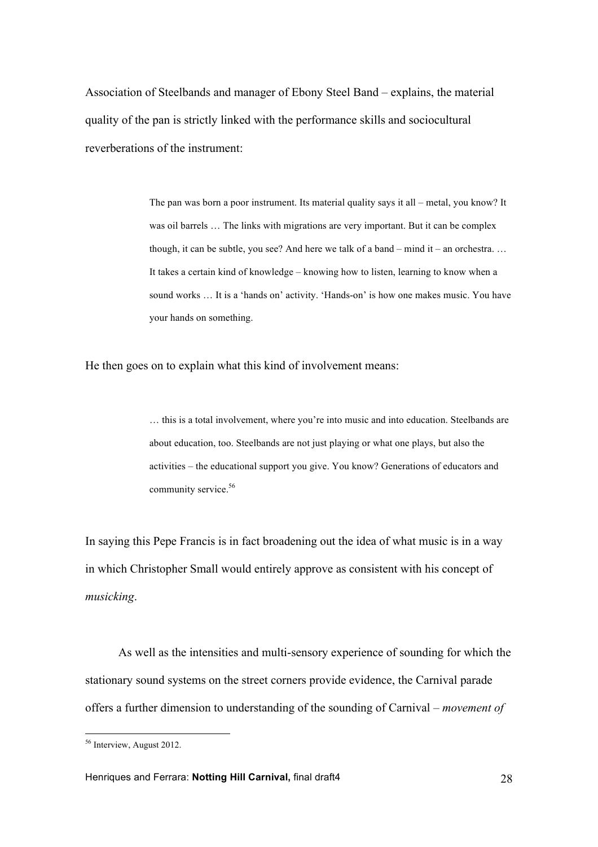Association of Steelbands and manager of Ebony Steel Band – explains, the material quality of the pan is strictly linked with the performance skills and sociocultural reverberations of the instrument:

> The pan was born a poor instrument. Its material quality says it all – metal, you know? It was oil barrels ... The links with migrations are very important. But it can be complex though, it can be subtle, you see? And here we talk of a band – mind it – an orchestra. … It takes a certain kind of knowledge – knowing how to listen, learning to know when a sound works … It is a 'hands on' activity. 'Hands-on' is how one makes music. You have your hands on something.

He then goes on to explain what this kind of involvement means:

… this is a total involvement, where you're into music and into education. Steelbands are about education, too. Steelbands are not just playing or what one plays, but also the activities – the educational support you give. You know? Generations of educators and community service.<sup>56</sup>

In saying this Pepe Francis is in fact broadening out the idea of what music is in a way in which Christopher Small would entirely approve as consistent with his concept of *musicking*.

 As well as the intensities and multi-sensory experience of sounding for which the stationary sound systems on the street corners provide evidence, the Carnival parade offers a further dimension to understanding of the sounding of Carnival – *movement of* 

 <sup>56</sup> Interview, August 2012.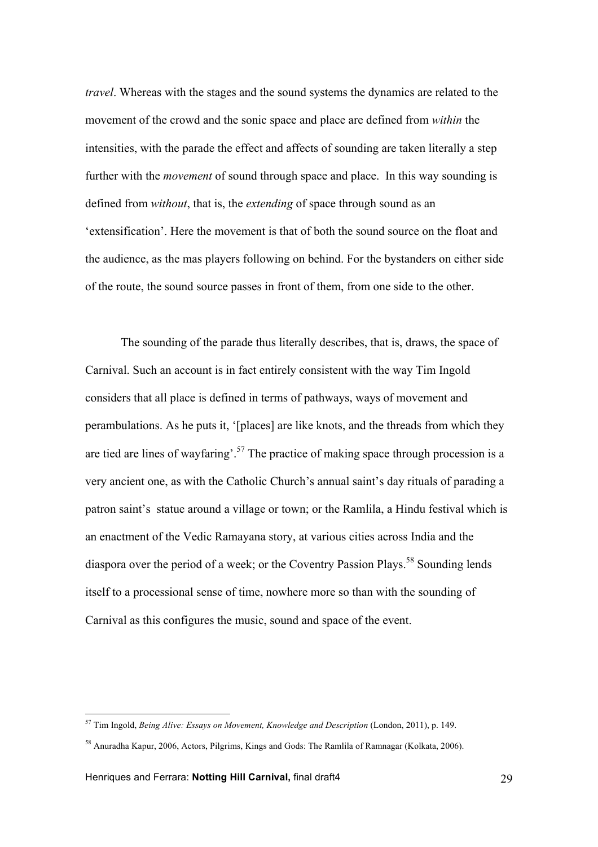*travel*. Whereas with the stages and the sound systems the dynamics are related to the movement of the crowd and the sonic space and place are defined from *within* the intensities, with the parade the effect and affects of sounding are taken literally a step further with the *movement* of sound through space and place. In this way sounding is defined from *without*, that is, the *extending* of space through sound as an 'extensification'. Here the movement is that of both the sound source on the float and the audience, as the mas players following on behind. For the bystanders on either side of the route, the sound source passes in front of them, from one side to the other.

The sounding of the parade thus literally describes, that is, draws, the space of Carnival. Such an account is in fact entirely consistent with the way Tim Ingold considers that all place is defined in terms of pathways, ways of movement and perambulations. As he puts it, '[places] are like knots, and the threads from which they are tied are lines of wayfaring'.<sup>57</sup> The practice of making space through procession is a very ancient one, as with the Catholic Church's annual saint's day rituals of parading a patron saint's statue around a village or town; or the Ramlila, a Hindu festival which is an enactment of the Vedic Ramayana story, at various cities across India and the diaspora over the period of a week; or the Coventry Passion Plays.<sup>58</sup> Sounding lends itself to a processional sense of time, nowhere more so than with the sounding of Carnival as this configures the music, sound and space of the event.

 <sup>57</sup> Tim Ingold, *Being Alive: Essays on Movement, Knowledge and Description* (London, 2011), p. 149.

<sup>58</sup> Anuradha Kapur, 2006, Actors, Pilgrims, Kings and Gods: The Ramlila of Ramnagar (Kolkata, 2006).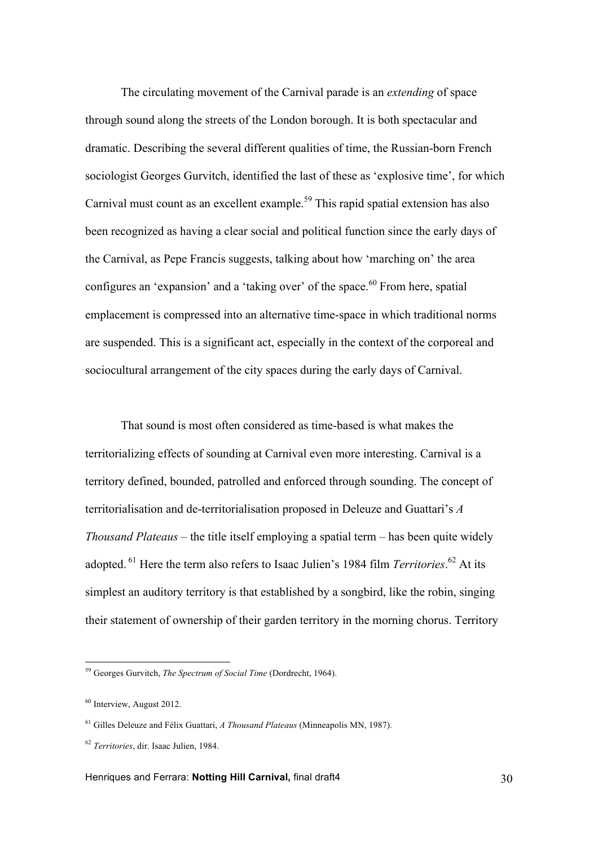The circulating movement of the Carnival parade is an *extending* of space through sound along the streets of the London borough. It is both spectacular and dramatic. Describing the several different qualities of time, the Russian-born French sociologist Georges Gurvitch, identified the last of these as 'explosive time', for which Carnival must count as an excellent example.<sup>59</sup> This rapid spatial extension has also been recognized as having a clear social and political function since the early days of the Carnival, as Pepe Francis suggests, talking about how 'marching on' the area configures an 'expansion' and a 'taking over' of the space.<sup>60</sup> From here, spatial emplacement is compressed into an alternative time-space in which traditional norms are suspended. This is a significant act, especially in the context of the corporeal and sociocultural arrangement of the city spaces during the early days of Carnival.

That sound is most often considered as time-based is what makes the territorializing effects of sounding at Carnival even more interesting. Carnival is a territory defined, bounded, patrolled and enforced through sounding. The concept of territorialisation and de-territorialisation proposed in Deleuze and Guattari's *A Thousand Plateaus* – the title itself employing a spatial term – has been quite widely adopted. <sup>61</sup> Here the term also refers to Isaac Julien's 1984 film *Territories*. <sup>62</sup> At its simplest an auditory territory is that established by a songbird, like the robin, singing their statement of ownership of their garden territory in the morning chorus. Territory

 <sup>59</sup> Georges Gurvitch, *The Spectrum of Social Time* (Dordrecht, 1964).

<sup>60</sup> Interview, August 2012.

<sup>61</sup> Gilles Deleuze and Félix Guattari, *A Thousand Plateaus* (Minneapolis MN, 1987).

<sup>62</sup> *Territories*, dir. Isaac Julien, 1984.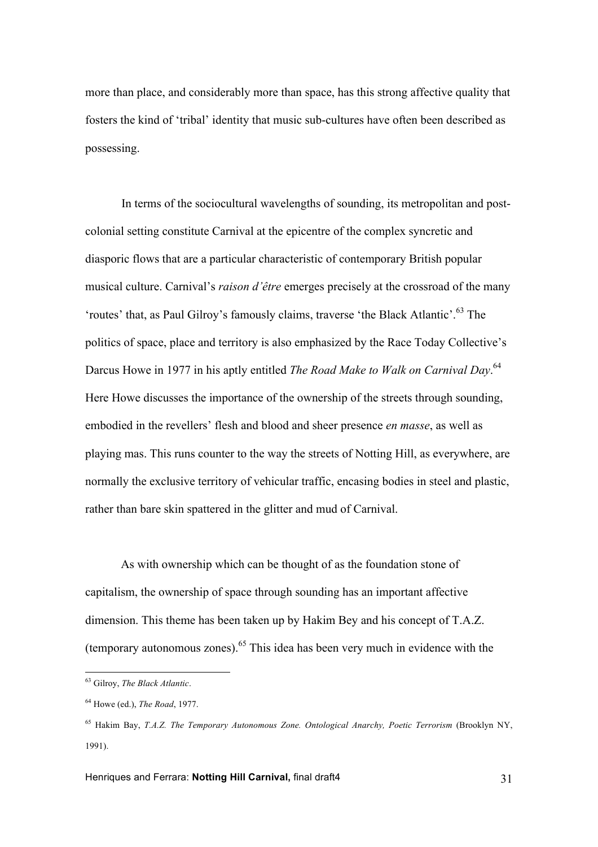more than place, and considerably more than space, has this strong affective quality that fosters the kind of 'tribal' identity that music sub-cultures have often been described as possessing.

 In terms of the sociocultural wavelengths of sounding, its metropolitan and postcolonial setting constitute Carnival at the epicentre of the complex syncretic and diasporic flows that are a particular characteristic of contemporary British popular musical culture. Carnival's *raison d'être* emerges precisely at the crossroad of the many 'routes' that, as Paul Gilroy's famously claims, traverse 'the Black Atlantic'.63 The politics of space, place and territory is also emphasized by the Race Today Collective's Darcus Howe in 1977 in his aptly entitled *The Road Make to Walk on Carnival Day*. 64 Here Howe discusses the importance of the ownership of the streets through sounding, embodied in the revellers' flesh and blood and sheer presence *en masse*, as well as playing mas. This runs counter to the way the streets of Notting Hill, as everywhere, are normally the exclusive territory of vehicular traffic, encasing bodies in steel and plastic, rather than bare skin spattered in the glitter and mud of Carnival.

As with ownership which can be thought of as the foundation stone of capitalism, the ownership of space through sounding has an important affective dimension. This theme has been taken up by Hakim Bey and his concept of T.A.Z. (temporary autonomous zones).<sup>65</sup> This idea has been very much in evidence with the

 <sup>63</sup> Gilroy, *The Black Atlantic*.

<sup>64</sup> Howe (ed.), *The Road*, 1977.

<sup>65</sup> Hakim Bay, *T.A.Z. The Temporary Autonomous Zone. Ontological Anarchy, Poetic Terrorism* (Brooklyn NY, 1991).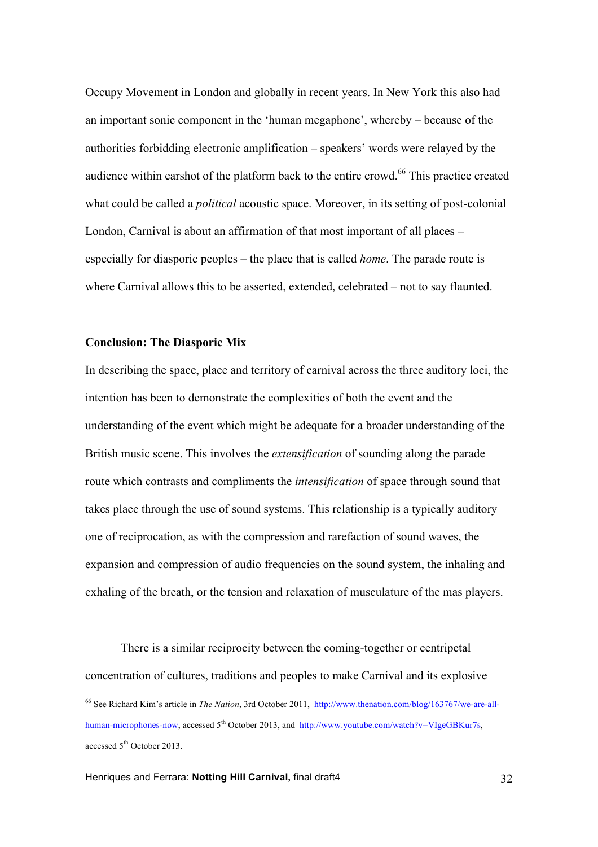Occupy Movement in London and globally in recent years. In New York this also had an important sonic component in the 'human megaphone', whereby – because of the authorities forbidding electronic amplification – speakers' words were relayed by the audience within earshot of the platform back to the entire crowd.<sup>66</sup> This practice created what could be called a *political* acoustic space. Moreover, in its setting of post-colonial London, Carnival is about an affirmation of that most important of all places – especially for diasporic peoples – the place that is called *home*. The parade route is where Carnival allows this to be asserted, extended, celebrated – not to say flaunted.

## **Conclusion: The Diasporic Mix**

In describing the space, place and territory of carnival across the three auditory loci, the intention has been to demonstrate the complexities of both the event and the understanding of the event which might be adequate for a broader understanding of the British music scene. This involves the *extensification* of sounding along the parade route which contrasts and compliments the *intensification* of space through sound that takes place through the use of sound systems. This relationship is a typically auditory one of reciprocation, as with the compression and rarefaction of sound waves, the expansion and compression of audio frequencies on the sound system, the inhaling and exhaling of the breath, or the tension and relaxation of musculature of the mas players.

There is a similar reciprocity between the coming-together or centripetal concentration of cultures, traditions and peoples to make Carnival and its explosive

 <sup>66</sup> See Richard Kim's article in *The Nation*, 3rd October 2011, http://www.thenation.com/blog/163767/we-are-allhuman-microphones-now, accessed 5<sup>th</sup> October 2013, and http://www.youtube.com/watch?v=VIgeGBKur7s, accessed  $5<sup>th</sup>$  October 2013.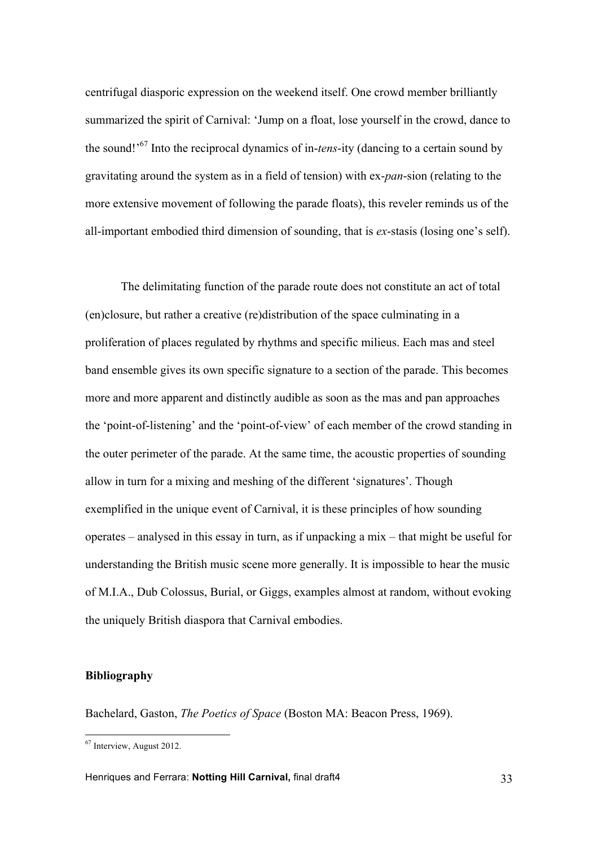centrifugal diasporic expression on the weekend itself. One crowd member brilliantly summarized the spirit of Carnival: 'Jump on a float, lose yourself in the crowd, dance to the sound!' <sup>67</sup> Into the reciprocal dynamics of in-*tens*-ity (dancing to a certain sound by gravitating around the system as in a field of tension) with ex-*pan*-sion (relating to the more extensive movement of following the parade floats), this reveler reminds us of the all-important embodied third dimension of sounding, that is *ex*-stasis (losing one's self).

The delimitating function of the parade route does not constitute an act of total (en)closure, but rather a creative (re)distribution of the space culminating in a proliferation of places regulated by rhythms and specific milieus. Each mas and steel band ensemble gives its own specific signature to a section of the parade. This becomes more and more apparent and distinctly audible as soon as the mas and pan approaches the 'point-of-listening' and the 'point-of-view' of each member of the crowd standing in the outer perimeter of the parade. At the same time, the acoustic properties of sounding allow in turn for a mixing and meshing of the different 'signatures'. Though exemplified in the unique event of Carnival, it is these principles of how sounding operates – analysed in this essay in turn, as if unpacking a mix – that might be useful for understanding the British music scene more generally. It is impossible to hear the music of M.I.A., Dub Colossus, Burial, or Giggs, examples almost at random, without evoking the uniquely British diaspora that Carnival embodies.

## **Bibliography**

Bachelard, Gaston, *The Poetics of Space* (Boston MA: Beacon Press, 1969).

Henriques and Ferrara: **Notting Hill Carnival,** final draft4 **33** and  $\frac{33}{33}$ 

 <sup>67</sup> Interview, August 2012.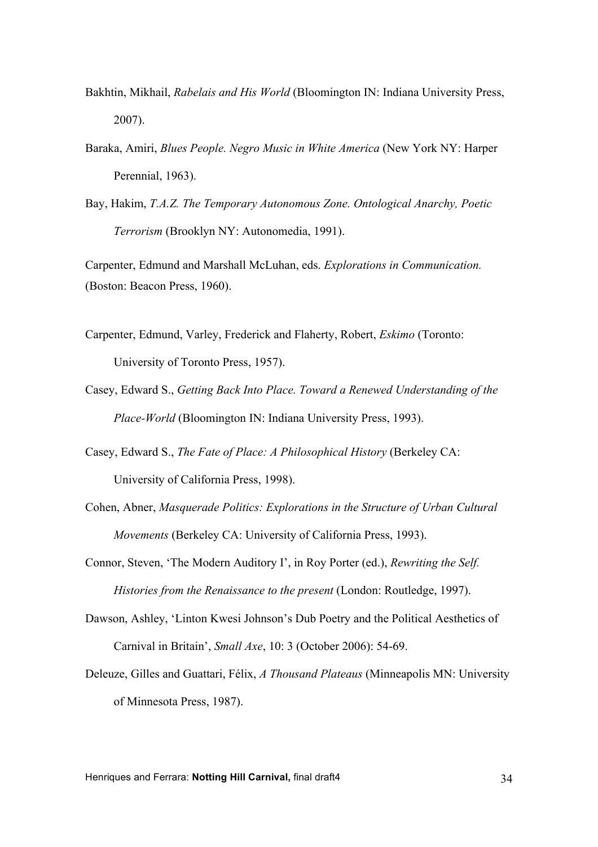- Bakhtin, Mikhail, *Rabelais and His World* (Bloomington IN: Indiana University Press, 2007).
- Baraka, Amiri, *Blues People. Negro Music in White America* (New York NY: Harper Perennial, 1963).
- Bay, Hakim, *T.A.Z. The Temporary Autonomous Zone. Ontological Anarchy, Poetic Terrorism* (Brooklyn NY: Autonomedia, 1991).

Carpenter, Edmund and Marshall McLuhan, eds. *Explorations in Communication.* (Boston: Beacon Press, 1960).

- Carpenter, Edmund, Varley, Frederick and Flaherty, Robert, *Eskimo* (Toronto: University of Toronto Press, 1957).
- Casey, Edward S., *Getting Back Into Place. Toward a Renewed Understanding of the Place-World* (Bloomington IN: Indiana University Press, 1993).
- Casey, Edward S., *The Fate of Place: A Philosophical History* (Berkeley CA: University of California Press, 1998).
- Cohen, Abner, *Masquerade Politics: Explorations in the Structure of Urban Cultural Movements* (Berkeley CA: University of California Press, 1993).
- Connor, Steven, 'The Modern Auditory I', in Roy Porter (ed.), *Rewriting the Self. Histories from the Renaissance to the present* (London: Routledge, 1997).
- Dawson, Ashley, 'Linton Kwesi Johnson's Dub Poetry and the Political Aesthetics of Carnival in Britain', *Small Axe*, 10: 3 (October 2006): 54-69.
- Deleuze, Gilles and Guattari, Félix, *A Thousand Plateaus* (Minneapolis MN: University of Minnesota Press, 1987).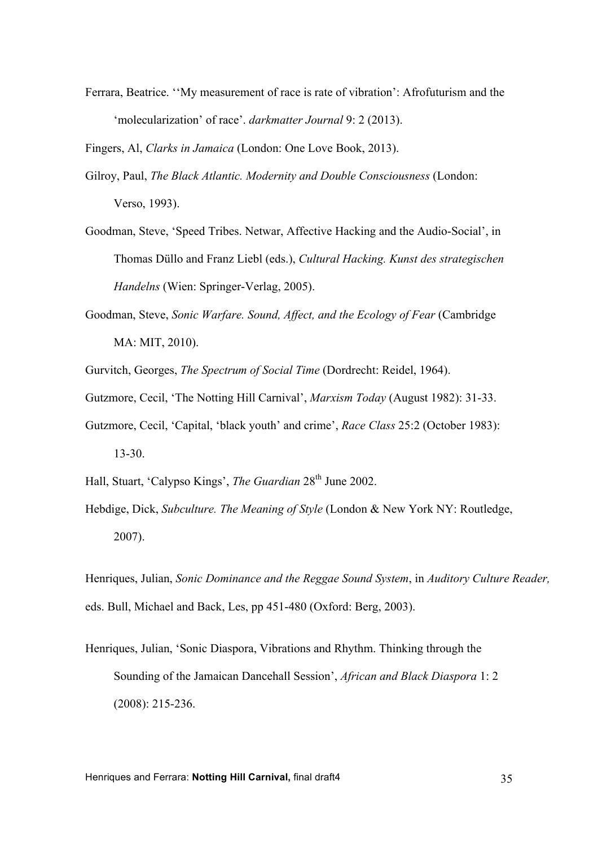Ferrara, Beatrice. ''My measurement of race is rate of vibration': Afrofuturism and the 'molecularization' of race'. *darkmatter Journal* 9: 2 (2013).

Fingers, Al, *Clarks in Jamaica* (London: One Love Book, 2013).

- Gilroy, Paul, *The Black Atlantic. Modernity and Double Consciousness* (London: Verso, 1993).
- Goodman, Steve, 'Speed Tribes. Netwar, Affective Hacking and the Audio-Social', in Thomas Düllo and Franz Liebl (eds.), *Cultural Hacking. Kunst des strategischen Handelns* (Wien: Springer-Verlag, 2005).
- Goodman, Steve, *Sonic Warfare. Sound, Affect, and the Ecology of Fear* (Cambridge MA: MIT, 2010).
- Gurvitch, Georges, *The Spectrum of Social Time* (Dordrecht: Reidel, 1964).
- Gutzmore, Cecil, 'The Notting Hill Carnival', *Marxism Today* (August 1982): 31-33.
- Gutzmore, Cecil, 'Capital, 'black youth' and crime', *Race Class* 25:2 (October 1983): 13-30.
- Hall, Stuart, 'Calypso Kings', *The Guardian* 28<sup>th</sup> June 2002.
- Hebdige, Dick, *Subculture. The Meaning of Style* (London & New York NY: Routledge, 2007).

Henriques, Julian, *Sonic Dominance and the Reggae Sound System*, in *Auditory Culture Reader,* eds. Bull, Michael and Back, Les, pp 451-480 (Oxford: Berg, 2003).

Henriques, Julian, 'Sonic Diaspora, Vibrations and Rhythm. Thinking through the Sounding of the Jamaican Dancehall Session', *African and Black Diaspora* 1: 2 (2008): 215-236.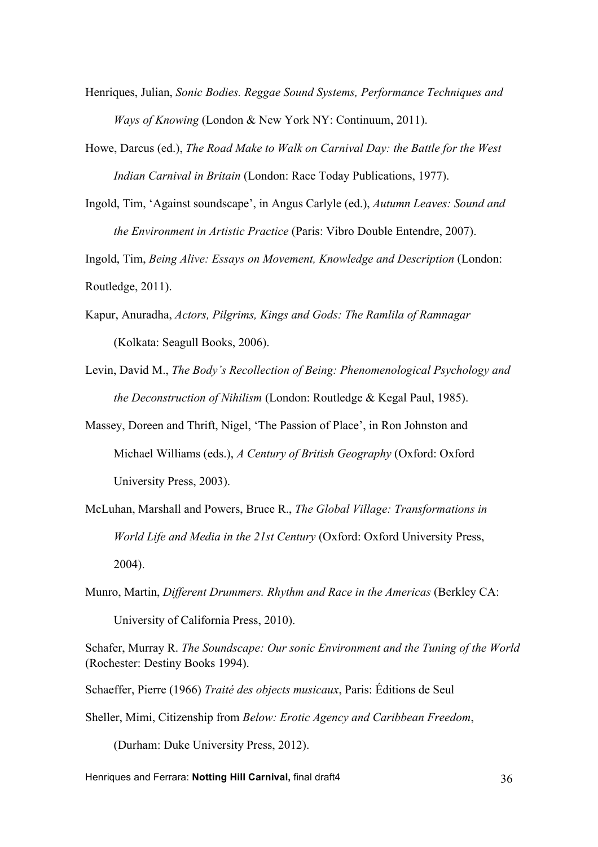- Henriques, Julian, *Sonic Bodies. Reggae Sound Systems, Performance Techniques and Ways of Knowing* (London & New York NY: Continuum, 2011).
- Howe, Darcus (ed.), *The Road Make to Walk on Carnival Day: the Battle for the West Indian Carnival in Britain* (London: Race Today Publications, 1977).
- Ingold, Tim, 'Against soundscape', in Angus Carlyle (ed.), *Autumn Leaves: Sound and the Environment in Artistic Practice* (Paris: Vibro Double Entendre, 2007).

Ingold, Tim, *Being Alive: Essays on Movement, Knowledge and Description* (London: Routledge, 2011).

- Kapur, Anuradha, *Actors, Pilgrims, Kings and Gods: The Ramlila of Ramnagar* (Kolkata: Seagull Books, 2006).
- Levin, David M., *The Body's Recollection of Being: Phenomenological Psychology and the Deconstruction of Nihilism* (London: Routledge & Kegal Paul, 1985).
- Massey, Doreen and Thrift, Nigel, 'The Passion of Place', in Ron Johnston and Michael Williams (eds.), *A Century of British Geography* (Oxford: Oxford University Press, 2003).
- McLuhan, Marshall and Powers, Bruce R., *The Global Village: Transformations in World Life and Media in the 21st Century* (Oxford: Oxford University Press, 2004).
- Munro, Martin, *Different Drummers. Rhythm and Race in the Americas* (Berkley CA: University of California Press, 2010).
- Schafer, Murray R. *The Soundscape: Our sonic Environment and the Tuning of the World* (Rochester: Destiny Books 1994).
- Schaeffer, Pierre (1966) *Traité des objects musicaux*, Paris: Éditions de Seul
- Sheller, Mimi, Citizenship from *Below: Erotic Agency and Caribbean Freedom*,

(Durham: Duke University Press, 2012).

## Henriques and Ferrara: **Notting Hill Carnival,** final draft4 36